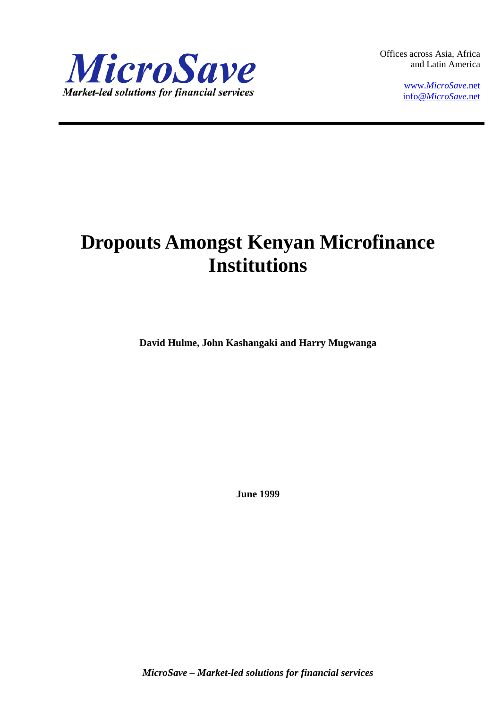

Offices across Asia, Africa and Latin America

> www.*[MicroSave](http://www.microsave.net/)*.net info@*[MicroSave](mailto:info@MicroSave.net)*.net

# **Dropouts Amongst Kenyan Microfinance Institutions**

**David Hulme, John Kashangaki and Harry Mugwanga**

**June 1999**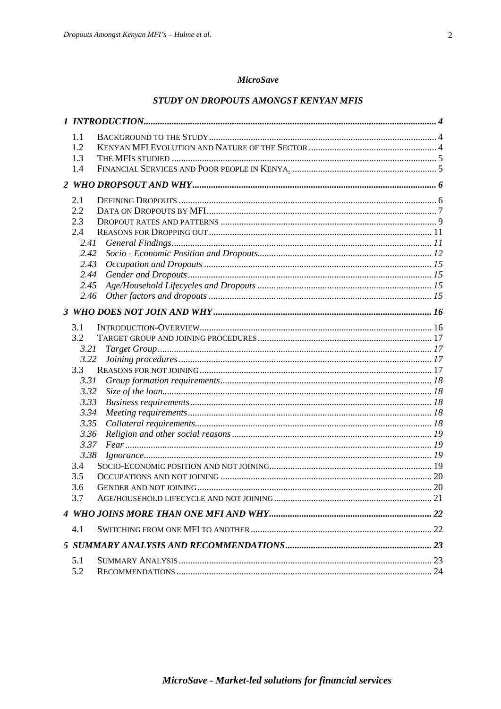# **MicroSave**

# STUDY ON DROPOUTS AMONGST KENYAN MFIS

| 1.1          |  |
|--------------|--|
| 1.2          |  |
| 1.3          |  |
| 1.4          |  |
|              |  |
| 2.1          |  |
| 2.2          |  |
| 2.3          |  |
| 2.4          |  |
| 2.41         |  |
| 2.42         |  |
| 2.43         |  |
| 2.44         |  |
| 2.45         |  |
| 2.46         |  |
|              |  |
|              |  |
| 3.1<br>3.2   |  |
|              |  |
| 3.21<br>3.22 |  |
| 3.3          |  |
| 3.31         |  |
| 3.32         |  |
| 3.33         |  |
| 3.34         |  |
| 3.35         |  |
| 3.36         |  |
| 3.37         |  |
| 3.38         |  |
| 3.4          |  |
| 3.5          |  |
| 3.6          |  |
| 3.7          |  |
|              |  |
| 4.1          |  |
|              |  |
|              |  |
| 5.1          |  |
| 5.2          |  |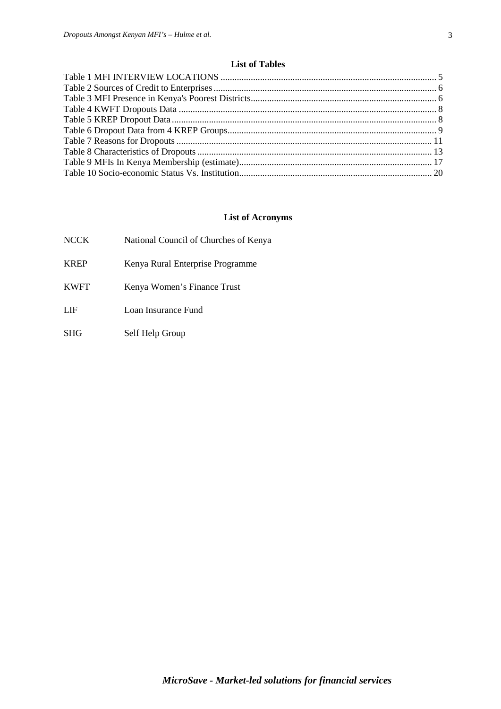# **List of Tables**

# **List of Acronyms**

| <b>NCCK</b> | National Council of Churches of Kenya |
|-------------|---------------------------------------|
| <b>KREP</b> | Kenya Rural Enterprise Programme      |
| <b>KWFT</b> | Kenya Women's Finance Trust           |
| LIF         | Loan Insurance Fund                   |

SHG Self Help Group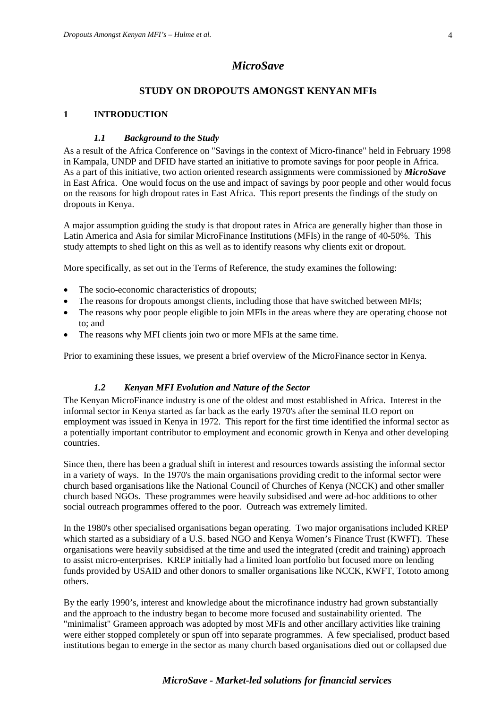# *MicroSave*

# **STUDY ON DROPOUTS AMONGST KENYAN MFIs**

# **1 INTRODUCTION**

# *1.1 Background to the Study*

As a result of the Africa Conference on "Savings in the context of Micro-finance" held in February 1998 in Kampala, UNDP and DFID have started an initiative to promote savings for poor people in Africa. As a part of this initiative, two action oriented research assignments were commissioned by *MicroSave* in East Africa. One would focus on the use and impact of savings by poor people and other would focus on the reasons for high dropout rates in East Africa. This report presents the findings of the study on dropouts in Kenya.

A major assumption guiding the study is that dropout rates in Africa are generally higher than those in Latin America and Asia for similar MicroFinance Institutions (MFIs) in the range of 40-50%. This study attempts to shed light on this as well as to identify reasons why clients exit or dropout.

More specifically, as set out in the Terms of Reference, the study examines the following:

- The socio-economic characteristics of dropouts;
- The reasons for dropouts amongst clients, including those that have switched between MFIs;
- The reasons why poor people eligible to join MFIs in the areas where they are operating choose not to; and
- The reasons why MFI clients join two or more MFIs at the same time.

Prior to examining these issues, we present a brief overview of the MicroFinance sector in Kenya.

# *1.2 Kenyan MFI Evolution and Nature of the Sector*

The Kenyan MicroFinance industry is one of the oldest and most established in Africa. Interest in the informal sector in Kenya started as far back as the early 1970's after the seminal ILO report on employment was issued in Kenya in 1972. This report for the first time identified the informal sector as a potentially important contributor to employment and economic growth in Kenya and other developing countries.

Since then, there has been a gradual shift in interest and resources towards assisting the informal sector in a variety of ways. In the 1970's the main organisations providing credit to the informal sector were church based organisations like the National Council of Churches of Kenya (NCCK) and other smaller church based NGOs. These programmes were heavily subsidised and were ad-hoc additions to other social outreach programmes offered to the poor. Outreach was extremely limited.

In the 1980's other specialised organisations began operating. Two major organisations included KREP which started as a subsidiary of a U.S. based NGO and Kenya Women's Finance Trust (KWFT). These organisations were heavily subsidised at the time and used the integrated (credit and training) approach to assist micro-enterprises. KREP initially had a limited loan portfolio but focused more on lending funds provided by USAID and other donors to smaller organisations like NCCK, KWFT, Tototo among others.

By the early 1990's, interest and knowledge about the microfinance industry had grown substantially and the approach to the industry began to become more focused and sustainability oriented. The "minimalist" Grameen approach was adopted by most MFIs and other ancillary activities like training were either stopped completely or spun off into separate programmes. A few specialised, product based institutions began to emerge in the sector as many church based organisations died out or collapsed due

# *MicroSave - Market-led solutions for financial services*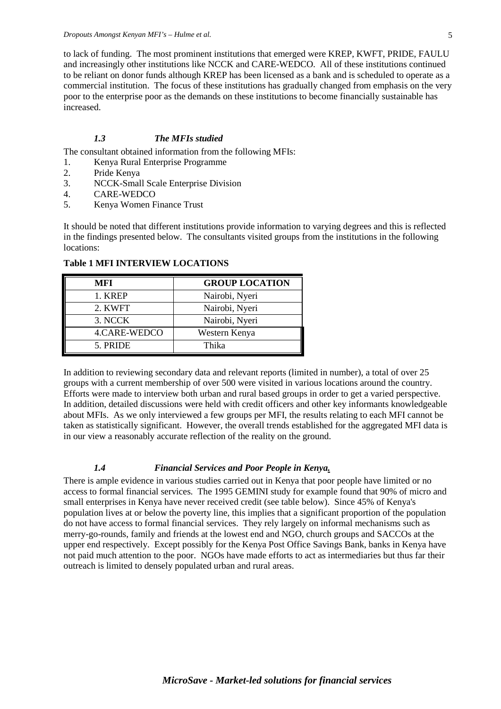to lack of funding. The most prominent institutions that emerged were KREP, KWFT, PRIDE, FAULU and increasingly other institutions like NCCK and CARE-WEDCO. All of these institutions continued to be reliant on donor funds although KREP has been licensed as a bank and is scheduled to operate as a commercial institution. The focus of these institutions has gradually changed from emphasis on the very poor to the enterprise poor as the demands on these institutions to become financially sustainable has increased.

# *1.3 The MFIs studied*

The consultant obtained information from the following MFIs:

- 1. Kenya Rural Enterprise Programme
- 2. Pride Kenya<br>3. NCCK-Smal
- 3. NCCK-Small Scale Enterprise Division
- 4. CARE-WEDCO
- 5. Kenya Women Finance Trust

It should be noted that different institutions provide information to varying degrees and this is reflected in the findings presented below. The consultants visited groups from the institutions in the following locations:

| MFI          | <b>GROUP LOCATION</b> |
|--------------|-----------------------|
| 1. KREP      | Nairobi, Nyeri        |
| 2. KWFT      | Nairobi, Nyeri        |
| 3. NCCK      | Nairobi, Nyeri        |
| 4.CARE-WEDCO | Western Kenya         |
| 5. PRIDE     | Thika                 |

#### **Table 1 MFI INTERVIEW LOCATIONS**

In addition to reviewing secondary data and relevant reports (limited in number), a total of over 25 groups with a current membership of over 500 were visited in various locations around the country. Efforts were made to interview both urban and rural based groups in order to get a varied perspective. In addition, detailed discussions were held with credit officers and other key informants knowledgeable about MFIs. As we only interviewed a few groups per MFI, the results relating to each MFI cannot be taken as statistically significant. However, the overall trends established for the aggregated MFI data is in our view a reasonably accurate reflection of the reality on the ground.

#### *1.4 Financial Services and Poor People in Kenya.*

There is ample evidence in various studies carried out in Kenya that poor people have limited or no access to formal financial services. The 1995 GEMINI study for example found that 90% of micro and small enterprises in Kenya have never received credit (see table below). Since 45% of Kenya's population lives at or below the poverty line, this implies that a significant proportion of the population do not have access to formal financial services. They rely largely on informal mechanisms such as merry-go-rounds, family and friends at the lowest end and NGO, church groups and SACCOs at the upper end respectively. Except possibly for the Kenya Post Office Savings Bank, banks in Kenya have not paid much attention to the poor. NGOs have made efforts to act as intermediaries but thus far their outreach is limited to densely populated urban and rural areas.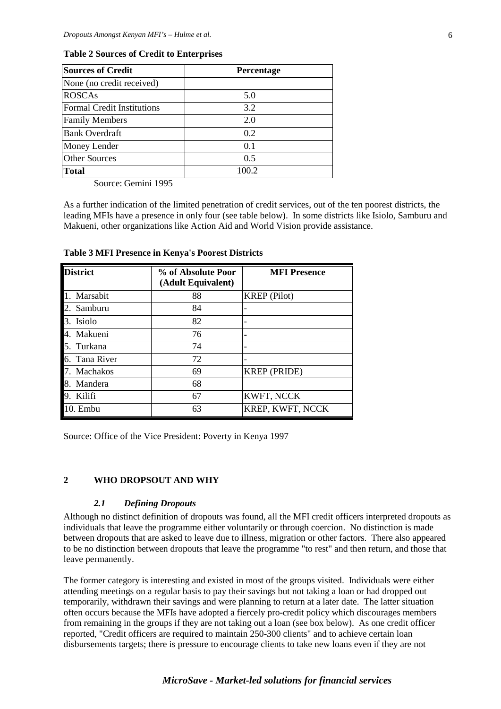| <b>Sources of Credit</b>          | <b>Percentage</b> |
|-----------------------------------|-------------------|
| None (no credit received)         |                   |
| <b>ROSCAs</b>                     | 5.0               |
| <b>Formal Credit Institutions</b> | 3.2               |
| <b>Family Members</b>             | 2.0               |
| <b>Bank Overdraft</b>             | 0.2               |
| Money Lender                      | 0.1               |
| <b>Other Sources</b>              | 0.5               |
| <b>Total</b>                      | 100.2             |

#### **Table 2 Sources of Credit to Enterprises**

Source: Gemini 1995

As a further indication of the limited penetration of credit services, out of the ten poorest districts, the leading MFIs have a presence in only four (see table below). In some districts like Isiolo, Samburu and Makueni, other organizations like Action Aid and World Vision provide assistance.

| District   | % of Absolute Poor<br>(Adult Equivalent) | <b>MFI Presence</b> |
|------------|------------------------------------------|---------------------|
| Marsabit   | 88                                       | <b>KREP</b> (Pilot) |
| Samburu    | 84                                       |                     |
| Isiolo     | 82                                       |                     |
| Makueni    | 76                                       |                     |
| Turkana    | 74                                       |                     |
| Tana River | 72                                       |                     |
| Machakos   | 69                                       | <b>KREP</b> (PRIDE) |
| Mandera    | 68                                       |                     |
| Kilifi     | 67                                       | KWFT, NCCK          |
| ). Embu    | 63                                       | KREP, KWFT, NCCK    |

**Table 3 MFI Presence in Kenya's Poorest Districts**

Source: Office of the Vice President: Poverty in Kenya 1997

# **2 WHO DROPSOUT AND WHY**

#### *2.1 Defining Dropouts*

Although no distinct definition of dropouts was found, all the MFI credit officers interpreted dropouts as individuals that leave the programme either voluntarily or through coercion. No distinction is made between dropouts that are asked to leave due to illness, migration or other factors. There also appeared to be no distinction between dropouts that leave the programme "to rest" and then return, and those that leave permanently.

The former category is interesting and existed in most of the groups visited. Individuals were either attending meetings on a regular basis to pay their savings but not taking a loan or had dropped out temporarily, withdrawn their savings and were planning to return at a later date. The latter situation often occurs because the MFIs have adopted a fiercely pro-credit policy which discourages members from remaining in the groups if they are not taking out a loan (see box below). As one credit officer reported, "Credit officers are required to maintain 250-300 clients" and to achieve certain loan disbursements targets; there is pressure to encourage clients to take new loans even if they are not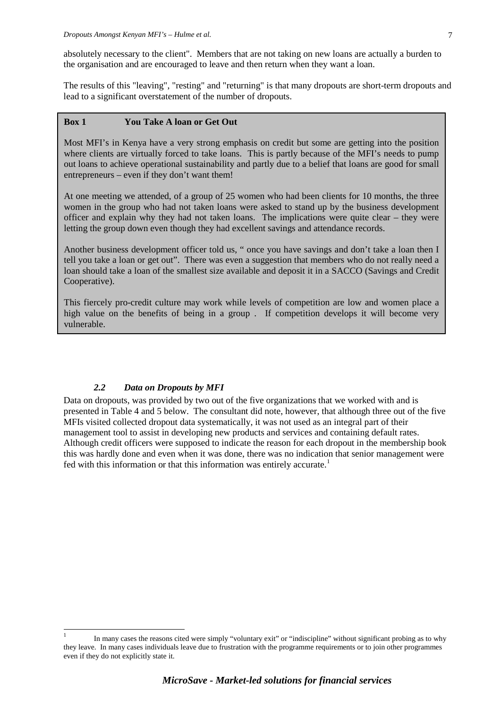The results of this "leaving", "resting" and "returning" is that many dropouts are short-term dropouts and lead to a significant overstatement of the number of dropouts.

#### **Box 1 You Take A loan or Get Out**

Most MFI's in Kenya have a very strong emphasis on credit but some are getting into the position where clients are virtually forced to take loans. This is partly because of the MFI's needs to pump out loans to achieve operational sustainability and partly due to a belief that loans are good for small entrepreneurs – even if they don't want them!

At one meeting we attended, of a group of 25 women who had been clients for 10 months, the three women in the group who had not taken loans were asked to stand up by the business development officer and explain why they had not taken loans. The implications were quite clear – they were letting the group down even though they had excellent savings and attendance records.

Another business development officer told us, " once you have savings and don't take a loan then I tell you take a loan or get out". There was even a suggestion that members who do not really need a loan should take a loan of the smallest size available and deposit it in a SACCO (Savings and Credit Cooperative).

This fiercely pro-credit culture may work while levels of competition are low and women place a high value on the benefits of being in a group . If competition develops it will become very vulnerable.

# *2.2 Data on Dropouts by MFI*

Data on dropouts, was provided by two out of the five organizations that we worked with and is presented in Table 4 and 5 below. The consultant did note, however, that although three out of the five MFIs visited collected dropout data systematically, it was not used as an integral part of their management tool to assist in developing new products and services and containing default rates. Although credit officers were supposed to indicate the reason for each dropout in the membership book this was hardly done and even when it was done, there was no indication that senior management were fed with this information or that this information was entirely accurate.<sup>[1](#page-6-0)</sup>

<span id="page-6-0"></span>In many cases the reasons cited were simply "voluntary exit" or "indiscipline" without significant probing as to why they leave. In many cases individuals leave due to frustration with the programme requirements or to join other programmes even if they do not explicitly state it.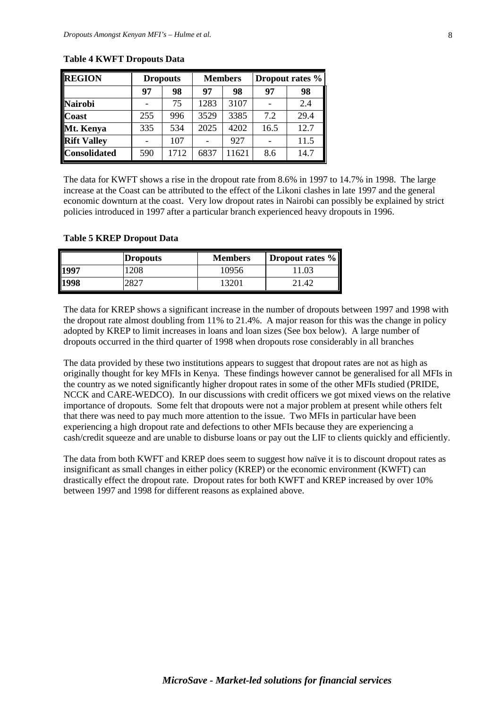| <b>REGION</b>       | <b>Dropouts</b> |      | <b>Members</b> |       | Dropout rates % |      |
|---------------------|-----------------|------|----------------|-------|-----------------|------|
|                     | 97              | 98   | 97             | 98    | 97              | 98   |
| <b>Nairobi</b>      |                 | 75   | 1283           | 3107  |                 | 2.4  |
| <b>Coast</b>        | 255             | 996  | 3529           | 3385  | 7.2             | 29.4 |
| Mt. Kenya           | 335             | 534  | 2025           | 4202  | 16.5            | 12.7 |
| <b>Rift Valley</b>  |                 | 107  |                | 927   |                 | 11.5 |
| <b>Consolidated</b> | 590             | 1712 | 6837           | 11621 | 8.6             | 14.7 |

#### **Table 4 KWFT Dropouts Data**

The data for KWFT shows a rise in the dropout rate from 8.6% in 1997 to 14.7% in 1998. The large increase at the Coast can be attributed to the effect of the Likoni clashes in late 1997 and the general economic downturn at the coast. Very low dropout rates in Nairobi can possibly be explained by strict policies introduced in 1997 after a particular branch experienced heavy dropouts in 1996.

#### **Table 5 KREP Dropout Data**

|      | <b>Dropouts</b> | <b>Members</b> | <b>Dropout rates %</b> |
|------|-----------------|----------------|------------------------|
| 1997 | 208             | 10956          |                        |
| 1998 |                 |                |                        |

The data for KREP shows a significant increase in the number of dropouts between 1997 and 1998 with the dropout rate almost doubling from 11% to 21.4%. A major reason for this was the change in policy adopted by KREP to limit increases in loans and loan sizes (See box below). A large number of dropouts occurred in the third quarter of 1998 when dropouts rose considerably in all branches

The data provided by these two institutions appears to suggest that dropout rates are not as high as originally thought for key MFIs in Kenya. These findings however cannot be generalised for all MFIs in the country as we noted significantly higher dropout rates in some of the other MFIs studied (PRIDE, NCCK and CARE-WEDCO). In our discussions with credit officers we got mixed views on the relative importance of dropouts. Some felt that dropouts were not a major problem at present while others felt that there was need to pay much more attention to the issue. Two MFIs in particular have been experiencing a high dropout rate and defections to other MFIs because they are experiencing a cash/credit squeeze and are unable to disburse loans or pay out the LIF to clients quickly and efficiently.

The data from both KWFT and KREP does seem to suggest how naïve it is to discount dropout rates as insignificant as small changes in either policy (KREP) or the economic environment (KWFT) can drastically effect the dropout rate. Dropout rates for both KWFT and KREP increased by over 10% between 1997 and 1998 for different reasons as explained above.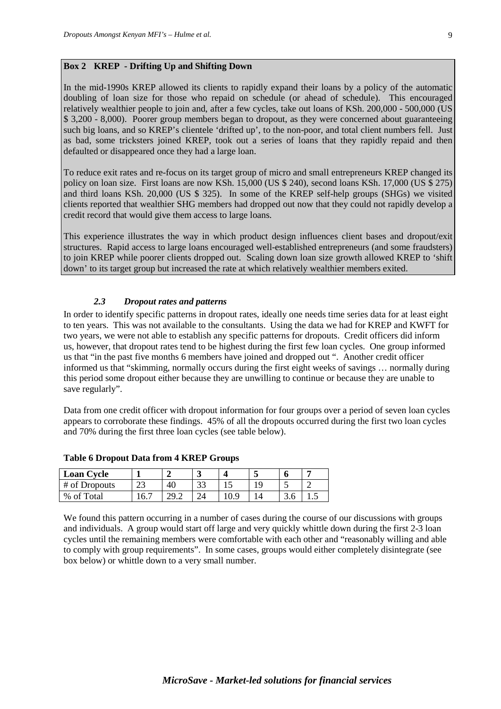# **Box 2 KREP - Drifting Up and Shifting Down**

In the mid-1990s KREP allowed its clients to rapidly expand their loans by a policy of the automatic doubling of loan size for those who repaid on schedule (or ahead of schedule). This encouraged relatively wealthier people to join and, after a few cycles, take out loans of KSh. 200,000 - 500,000 (US \$ 3,200 - 8,000). Poorer group members began to dropout, as they were concerned about guaranteeing such big loans, and so KREP's clientele 'drifted up', to the non-poor, and total client numbers fell. Just as bad, some tricksters joined KREP, took out a series of loans that they rapidly repaid and then defaulted or disappeared once they had a large loan.

To reduce exit rates and re-focus on its target group of micro and small entrepreneurs KREP changed its policy on loan size. First loans are now KSh. 15,000 (US \$ 240), second loans KSh. 17,000 (US \$ 275) and third loans KSh. 20,000 (US \$ 325). In some of the KREP self-help groups (SHGs) we visited clients reported that wealthier SHG members had dropped out now that they could not rapidly develop a credit record that would give them access to large loans.

This experience illustrates the way in which product design influences client bases and dropout/exit structures. Rapid access to large loans encouraged well-established entrepreneurs (and some fraudsters) to join KREP while poorer clients dropped out. Scaling down loan size growth allowed KREP to 'shift down' to its target group but increased the rate at which relatively wealthier members exited.

# *2.3 Dropout rates and patterns*

In order to identify specific patterns in dropout rates, ideally one needs time series data for at least eight to ten years. This was not available to the consultants. Using the data we had for KREP and KWFT for two years, we were not able to establish any specific patterns for dropouts. Credit officers did inform us, however, that dropout rates tend to be highest during the first few loan cycles. One group informed us that "in the past five months 6 members have joined and dropped out ". Another credit officer informed us that "skimming, normally occurs during the first eight weeks of savings … normally during this period some dropout either because they are unwilling to continue or because they are unable to save regularly".

Data from one credit officer with dropout information for four groups over a period of seven loan cycles appears to corroborate these findings. 45% of all the dropouts occurred during the first two loan cycles and 70% during the first three loan cycles (see table below).

| <b>Loan Cycle</b> |                   | ∼    |            |    | o             |      |
|-------------------|-------------------|------|------------|----|---------------|------|
| # of Dropouts     | $\mathbf{A}$<br>ت |      | າາ<br>ر. ر | ١C | ~             |      |
| %<br>'otal        | h                 | 41.L |            |    | $\sim$<br>J.V | ن. 1 |

#### **Table 6 Dropout Data from 4 KREP Groups**

We found this pattern occurring in a number of cases during the course of our discussions with groups and individuals. A group would start off large and very quickly whittle down during the first 2-3 loan cycles until the remaining members were comfortable with each other and "reasonably willing and able to comply with group requirements". In some cases, groups would either completely disintegrate (see box below) or whittle down to a very small number.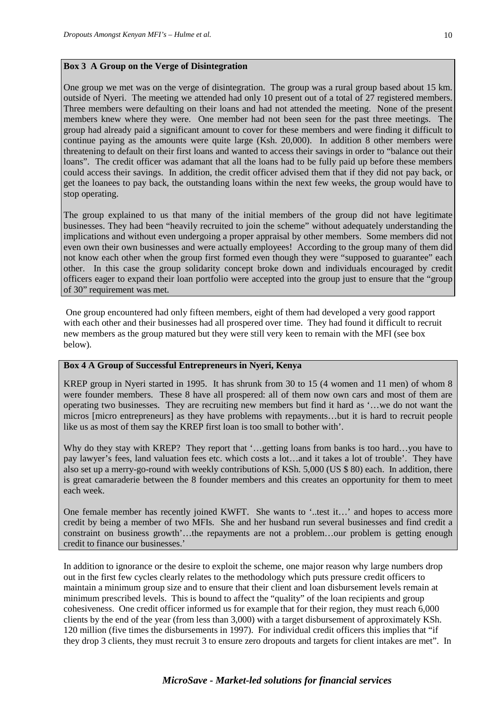One group we met was on the verge of disintegration. The group was a rural group based about 15 km. outside of Nyeri. The meeting we attended had only 10 present out of a total of 27 registered members. Three members were defaulting on their loans and had not attended the meeting. None of the present members knew where they were. One member had not been seen for the past three meetings. The group had already paid a significant amount to cover for these members and were finding it difficult to continue paying as the amounts were quite large (Ksh. 20,000). In addition 8 other members were threatening to default on their first loans and wanted to access their savings in order to "balance out their loans". The credit officer was adamant that all the loans had to be fully paid up before these members could access their savings. In addition, the credit officer advised them that if they did not pay back, or get the loanees to pay back, the outstanding loans within the next few weeks, the group would have to stop operating.

The group explained to us that many of the initial members of the group did not have legitimate businesses. They had been "heavily recruited to join the scheme" without adequately understanding the implications and without even undergoing a proper appraisal by other members. Some members did not even own their own businesses and were actually employees! According to the group many of them did not know each other when the group first formed even though they were "supposed to guarantee" each other. In this case the group solidarity concept broke down and individuals encouraged by credit officers eager to expand their loan portfolio were accepted into the group just to ensure that the "group of 30" requirement was met.

One group encountered had only fifteen members, eight of them had developed a very good rapport with each other and their businesses had all prospered over time. They had found it difficult to recruit new members as the group matured but they were still very keen to remain with the MFI (see box below).

#### **Box 4 A Group of Successful Entrepreneurs in Nyeri, Kenya**

KREP group in Nyeri started in 1995. It has shrunk from 30 to 15 (4 women and 11 men) of whom 8 were founder members. These 8 have all prospered: all of them now own cars and most of them are operating two businesses. They are recruiting new members but find it hard as '…we do not want the micros [micro entrepreneurs] as they have problems with repayments…but it is hard to recruit people like us as most of them say the KREP first loan is too small to bother with'.

Why do they stay with KREP? They report that '...getting loans from banks is too hard...you have to pay lawyer's fees, land valuation fees etc. which costs a lot…and it takes a lot of trouble'. They have also set up a merry-go-round with weekly contributions of KSh. 5,000 (US \$ 80) each. In addition, there is great camaraderie between the 8 founder members and this creates an opportunity for them to meet each week.

One female member has recently joined KWFT. She wants to '..test it…' and hopes to access more credit by being a member of two MFIs. She and her husband run several businesses and find credit a constraint on business growth'…the repayments are not a problem…our problem is getting enough credit to finance our businesses.'

In addition to ignorance or the desire to exploit the scheme, one major reason why large numbers drop out in the first few cycles clearly relates to the methodology which puts pressure credit officers to maintain a minimum group size and to ensure that their client and loan disbursement levels remain at minimum prescribed levels. This is bound to affect the "quality" of the loan recipients and group cohesiveness. One credit officer informed us for example that for their region, they must reach 6,000 clients by the end of the year (from less than 3,000) with a target disbursement of approximately KSh. 120 million (five times the disbursements in 1997). For individual credit officers this implies that "if they drop 3 clients, they must recruit 3 to ensure zero dropouts and targets for client intakes are met". In

# *MicroSave - Market-led solutions for financial services*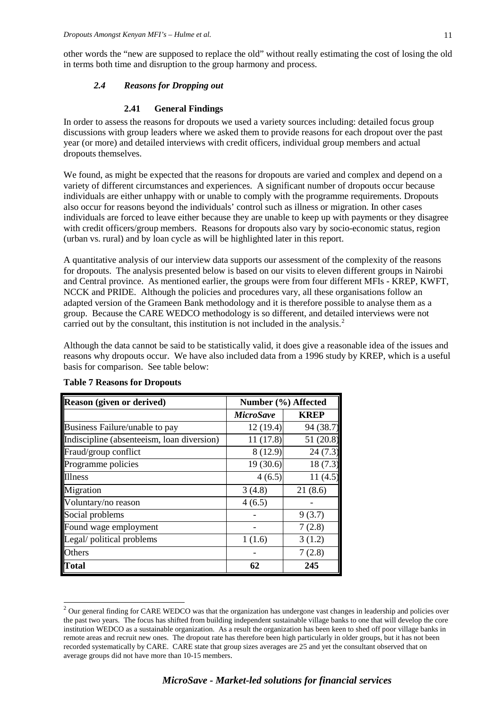other words the "new are supposed to replace the old" without really estimating the cost of losing the old in terms both time and disruption to the group harmony and process.

#### *2.4 Reasons for Dropping out*

#### **2.41 General Findings**

In order to assess the reasons for dropouts we used a variety sources including: detailed focus group discussions with group leaders where we asked them to provide reasons for each dropout over the past year (or more) and detailed interviews with credit officers, individual group members and actual dropouts themselves.

We found, as might be expected that the reasons for dropouts are varied and complex and depend on a variety of different circumstances and experiences. A significant number of dropouts occur because individuals are either unhappy with or unable to comply with the programme requirements. Dropouts also occur for reasons beyond the individuals' control such as illness or migration. In other cases individuals are forced to leave either because they are unable to keep up with payments or they disagree with credit officers/group members. Reasons for dropouts also vary by socio-economic status, region (urban vs. rural) and by loan cycle as will be highlighted later in this report.

A quantitative analysis of our interview data supports our assessment of the complexity of the reasons for dropouts. The analysis presented below is based on our visits to eleven different groups in Nairobi and Central province. As mentioned earlier, the groups were from four different MFIs - KREP, KWFT, NCCK and PRIDE. Although the policies and procedures vary, all these organisations follow an adapted version of the Grameen Bank methodology and it is therefore possible to analyse them as a group. Because the CARE WEDCO methodology is so different, and detailed interviews were not carried out by the consultant, this institution is not included in the analysis.<sup>[2](#page-10-0)</sup>

Although the data cannot be said to be statistically valid, it does give a reasonable idea of the issues and reasons why dropouts occur. We have also included data from a 1996 study by KREP, which is a useful basis for comparison. See table below:

| <b>Reason (given or derived)</b>           | Number (%) Affected |             |  |  |
|--------------------------------------------|---------------------|-------------|--|--|
|                                            | <b>MicroSave</b>    | <b>KREP</b> |  |  |
| Business Failure/unable to pay             | 12(19.4)            | 94 (38.7)   |  |  |
| Indiscipline (absenteeism, loan diversion) | 11(17.8)            | 51 (20.8)   |  |  |
| Fraud/group conflict                       | 8(12.9)             | 24(7.3)     |  |  |
| Programme policies                         | 19(30.6)            | 18(7.3)     |  |  |
| <b>Illness</b>                             | 4(6.5)              | 11(4.5)     |  |  |
| Migration                                  | 3(4.8)              | 21(8.6)     |  |  |
| Voluntary/no reason                        | 4(6.5)              |             |  |  |
| Social problems                            |                     | 9(3.7)      |  |  |
| Found wage employment                      |                     | 7(2.8)      |  |  |
| Legal/ political problems                  | 1(1.6)              | 3(1.2)      |  |  |
| Others                                     |                     | 7(2.8)      |  |  |
| Total                                      | 62                  | 245         |  |  |

#### **Table 7 Reasons for Dropouts**

<span id="page-10-0"></span> $2$  Our general finding for CARE WEDCO was that the organization has undergone vast changes in leadership and policies over the past two years. The focus has shifted from building independent sustainable village banks to one that will develop the core institution WEDCO as a sustainable organization. As a result the organization has been keen to shed off poor village banks in remote areas and recruit new ones. The dropout rate has therefore been high particularly in older groups, but it has not been recorded systematically by CARE. CARE state that group sizes averages are 25 and yet the consultant observed that on average groups did not have more than 10-15 members.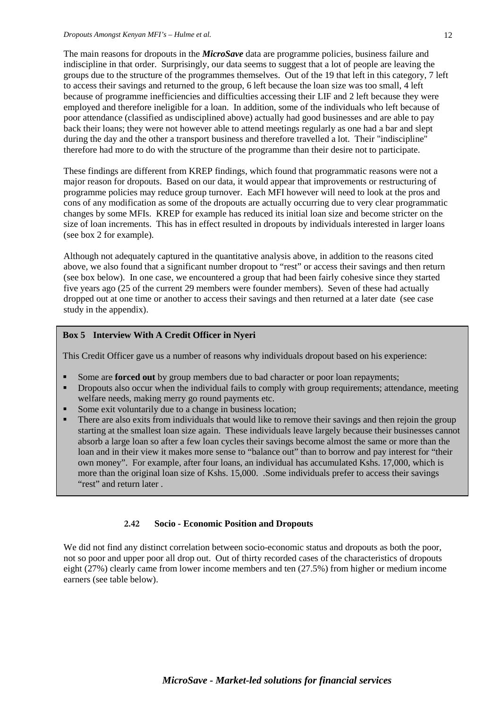The main reasons for dropouts in the *MicroSave* data are programme policies, business failure and indiscipline in that order. Surprisingly, our data seems to suggest that a lot of people are leaving the groups due to the structure of the programmes themselves. Out of the 19 that left in this category, 7 left to access their savings and returned to the group, 6 left because the loan size was too small, 4 left because of programme inefficiencies and difficulties accessing their LIF and 2 left because they were employed and therefore ineligible for a loan. In addition, some of the individuals who left because of poor attendance (classified as undisciplined above) actually had good businesses and are able to pay back their loans; they were not however able to attend meetings regularly as one had a bar and slept during the day and the other a transport business and therefore travelled a lot. Their "indiscipline" therefore had more to do with the structure of the programme than their desire not to participate.

These findings are different from KREP findings, which found that programmatic reasons were not a major reason for dropouts. Based on our data, it would appear that improvements or restructuring of programme policies may reduce group turnover. Each MFI however will need to look at the pros and cons of any modification as some of the dropouts are actually occurring due to very clear programmatic changes by some MFIs. KREP for example has reduced its initial loan size and become stricter on the size of loan increments. This has in effect resulted in dropouts by individuals interested in larger loans (see box 2 for example).

Although not adequately captured in the quantitative analysis above, in addition to the reasons cited above, we also found that a significant number dropout to "rest" or access their savings and then return (see box below). In one case, we encountered a group that had been fairly cohesive since they started five years ago (25 of the current 29 members were founder members). Seven of these had actually dropped out at one time or another to access their savings and then returned at a later date (see case study in the appendix).

#### **Box 5 Interview With A Credit Officer in Nyeri**

This Credit Officer gave us a number of reasons why individuals dropout based on his experience:

- Some are **forced out** by group members due to bad character or poor loan repayments;
- **•** Dropouts also occur when the individual fails to comply with group requirements; attendance, meeting welfare needs, making merry go round payments etc.
- Some exit voluntarily due to a change in business location;
- There are also exits from individuals that would like to remove their savings and then rejoin the group starting at the smallest loan size again. These individuals leave largely because their businesses cannot absorb a large loan so after a few loan cycles their savings become almost the same or more than the loan and in their view it makes more sense to "balance out" than to borrow and pay interest for "their own money". For example, after four loans, an individual has accumulated Kshs. 17,000, which is more than the original loan size of Kshs. 15,000. .Some individuals prefer to access their savings "rest" and return later.

#### **2.42 Socio - Economic Position and Dropouts**

We did not find any distinct correlation between socio-economic status and dropouts as both the poor, not so poor and upper poor all drop out. Out of thirty recorded cases of the characteristics of dropouts eight (27%) clearly came from lower income members and ten (27.5%) from higher or medium income earners (see table below).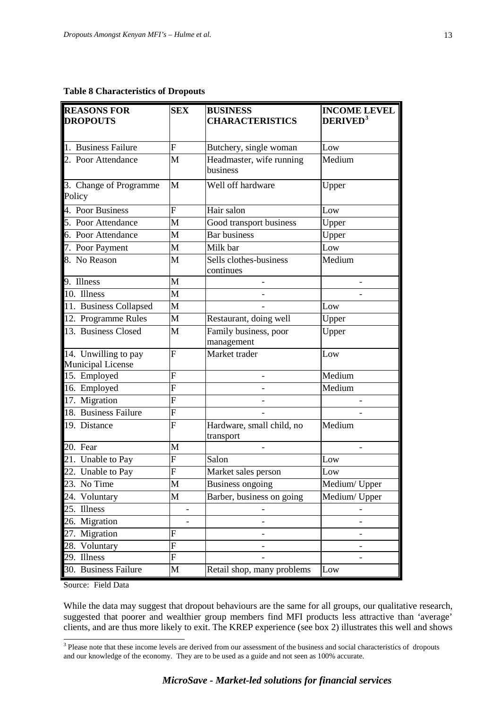#### **Table 8 Characteristics of Dropouts**

| <b>REASONS FOR</b><br><b>DROPOUTS</b>            | <b>SEX</b>     | <b>BUSINESS</b><br><b>CHARACTERISTICS</b> | <b>INCOME LEVEL</b><br>DERIVED <sup>3</sup> |
|--------------------------------------------------|----------------|-------------------------------------------|---------------------------------------------|
| 1. Business Failure                              | $\mathbf F$    | Butchery, single woman                    | Low                                         |
| 2. Poor Attendance                               | M              | Headmaster, wife running<br>business      | Medium                                      |
| 3. Change of Programme<br>Policy                 | M              | Well off hardware                         | Upper                                       |
| 4. Poor Business                                 | $\overline{F}$ | Hair salon                                | Low                                         |
| 5. Poor Attendance                               | M              | Good transport business                   | Upper                                       |
| 6. Poor Attendance                               | M              | <b>Bar business</b>                       | Upper                                       |
| 7. Poor Payment                                  | M              | Milk bar                                  | Low                                         |
| 8. No Reason                                     | M              | Sells clothes-business<br>continues       | Medium                                      |
| $\overline{9}$ . Illness                         | M              |                                           |                                             |
| 10. Illness                                      | M              |                                           |                                             |
| 11. Business Collapsed                           | M              |                                           | Low                                         |
| 12. Programme Rules                              | M              | Restaurant, doing well                    | Upper                                       |
| 13. Business Closed                              | M              | Family business, poor<br>management       | Upper                                       |
| 14. Unwilling to pay<br><b>Municipal License</b> | F              | Market trader                             | Low                                         |
| 15. Employed                                     | F              |                                           | Medium                                      |
| 16. Employed                                     | F              |                                           | Medium                                      |
| 17. Migration                                    | F              |                                           |                                             |
| 18. Business Failure                             | F              |                                           |                                             |
| 19. Distance                                     | F              | Hardware, small child, no<br>transport    | Medium                                      |
| 20. Fear                                         | M              |                                           |                                             |
| 21. Unable to Pay                                | F              | Salon                                     | Low                                         |
| 22. Unable to Pay                                | F              | Market sales person                       | Low                                         |
| 23.<br>No Time                                   | $\mathbf M$    | Business ongoing                          | Medium/ Upper                               |
| Voluntary                                        | M              | Barber, business on going                 | Medium/Upper                                |
| 25<br>Illness                                    |                |                                           |                                             |
| Migration<br>26.                                 |                |                                           |                                             |
| Migration                                        | F              |                                           |                                             |
| Voluntary                                        | F              |                                           |                                             |
| 29<br>Illness                                    | $\mathbf F$    |                                           |                                             |
| <b>Business Failure</b>                          | M              | Retail shop, many problems                | Low                                         |

Source: Field Data

While the data may suggest that dropout behaviours are the same for all groups, our qualitative research, suggested that poorer and wealthier group members find MFI products less attractive than 'average' clients, and are thus more likely to exit. The KREP experience (see box 2) illustrates this well and shows

<span id="page-12-0"></span><sup>&</sup>lt;sup>3</sup> Please note that these income levels are derived from our assessment of the business and social characteristics of dropouts and our knowledge of the economy. They are to be used as a guide and not seen as 100% accurate.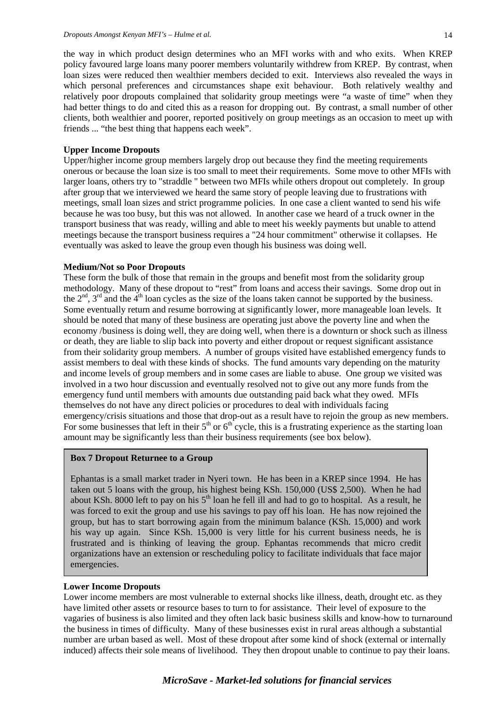the way in which product design determines who an MFI works with and who exits. When KREP policy favoured large loans many poorer members voluntarily withdrew from KREP. By contrast, when loan sizes were reduced then wealthier members decided to exit.Interviews also revealed the ways in which personal preferences and circumstances shape exit behaviour. Both relatively wealthy and relatively poor dropouts complained that solidarity group meetings were "a waste of time" when they had better things to do and cited this as a reason for dropping out. By contrast, a small number of other clients, both wealthier and poorer, reported positively on group meetings as an occasion to meet up with friends ... "the best thing that happens each week".

#### **Upper Income Dropouts**

Upper/higher income group members largely drop out because they find the meeting requirements onerous or because the loan size is too small to meet their requirements. Some move to other MFIs with larger loans, others try to "straddle " between two MFIs while others dropout out completely. In group after group that we interviewed we heard the same story of people leaving due to frustrations with meetings, small loan sizes and strict programme policies. In one case a client wanted to send his wife because he was too busy, but this was not allowed. In another case we heard of a truck owner in the transport business that was ready, willing and able to meet his weekly payments but unable to attend meetings because the transport business requires a "24 hour commitment" otherwise it collapses. He eventually was asked to leave the group even though his business was doing well.

#### **Medium/Not so Poor Dropouts**

These form the bulk of those that remain in the groups and benefit most from the solidarity group methodology. Many of these dropout to "rest" from loans and access their savings. Some drop out in the  $2<sup>nd</sup>$ ,  $3<sup>rd</sup>$  and the  $4<sup>th</sup>$  loan cycles as the size of the loans taken cannot be supported by the business. Some eventually return and resume borrowing at significantly lower, more manageable loan levels. It should be noted that many of these business are operating just above the poverty line and when the economy /business is doing well, they are doing well, when there is a downturn or shock such as illness or death, they are liable to slip back into poverty and either dropout or request significant assistance from their solidarity group members. A number of groups visited have established emergency funds to assist members to deal with these kinds of shocks. The fund amounts vary depending on the maturity and income levels of group members and in some cases are liable to abuse. One group we visited was involved in a two hour discussion and eventually resolved not to give out any more funds from the emergency fund until members with amounts due outstanding paid back what they owed. MFIs themselves do not have any direct policies or procedures to deal with individuals facing emergency/crisis situations and those that drop-out as a result have to rejoin the group as new members. For some businesses that left in their  $5<sup>th</sup>$  or  $6<sup>th</sup>$  cycle, this is a frustrating experience as the starting loan amount may be significantly less than their business requirements (see box below).

#### **Box 7 Dropout Returnee to a Group**

Ephantas is a small market trader in Nyeri town. He has been in a KREP since 1994. He has taken out 5 loans with the group, his highest being KSh. 150,000 (US\$ 2,500). When he had about KSh. 8000 left to pay on his  $5<sup>th</sup>$  loan he fell ill and had to go to hospital. As a result, he was forced to exit the group and use his savings to pay off his loan. He has now rejoined the group, but has to start borrowing again from the minimum balance (KSh. 15,000) and work his way up again. Since KSh. 15,000 is very little for his current business needs, he is frustrated and is thinking of leaving the group. Ephantas recommends that micro credit organizations have an extension or rescheduling policy to facilitate individuals that face major emergencies.

#### **Lower Income Dropouts**

Lower income members are most vulnerable to external shocks like illness, death, drought etc. as they have limited other assets or resource bases to turn to for assistance. Their level of exposure to the vagaries of business is also limited and they often lack basic business skills and know-how to turnaround the business in times of difficulty. Many of these businesses exist in rural areas although a substantial number are urban based as well. Most of these dropout after some kind of shock (external or internally induced) affects their sole means of livelihood. They then dropout unable to continue to pay their loans.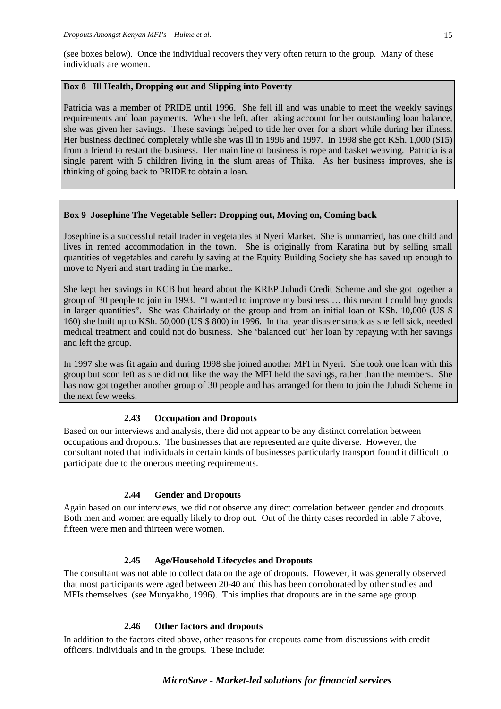(see boxes below). Once the individual recovers they very often return to the group. Many of these individuals are women.

# **Box 8 Ill Health, Dropping out and Slipping into Poverty**

Patricia was a member of PRIDE until 1996. She fell ill and was unable to meet the weekly savings requirements and loan payments. When she left, after taking account for her outstanding loan balance, she was given her savings. These savings helped to tide her over for a short while during her illness. Her business declined completely while she was ill in 1996 and 1997. In 1998 she got KSh. 1,000 (\$15) from a friend to restart the business. Her main line of business is rope and basket weaving. Patricia is a single parent with 5 children living in the slum areas of Thika. As her business improves, she is thinking of going back to PRIDE to obtain a loan.

# **Box 9 Josephine The Vegetable Seller: Dropping out, Moving on, Coming back**

Josephine is a successful retail trader in vegetables at Nyeri Market. She is unmarried, has one child and lives in rented accommodation in the town. She is originally from Karatina but by selling small quantities of vegetables and carefully saving at the Equity Building Society she has saved up enough to move to Nyeri and start trading in the market.

She kept her savings in KCB but heard about the KREP Juhudi Credit Scheme and she got together a group of 30 people to join in 1993. "I wanted to improve my business … this meant I could buy goods in larger quantities". She was Chairlady of the group and from an initial loan of KSh. 10,000 (US \$ 160) she built up to KSh. 50,000 (US \$ 800) in 1996. In that year disaster struck as she fell sick, needed medical treatment and could not do business. She 'balanced out' her loan by repaying with her savings and left the group.

In 1997 she was fit again and during 1998 she joined another MFI in Nyeri. She took one loan with this group but soon left as she did not like the way the MFI held the savings, rather than the members. She has now got together another group of 30 people and has arranged for them to join the Juhudi Scheme in the next few weeks.

# **2.43 Occupation and Dropouts**

Based on our interviews and analysis, there did not appear to be any distinct correlation between occupations and dropouts. The businesses that are represented are quite diverse. However, the consultant noted that individuals in certain kinds of businesses particularly transport found it difficult to participate due to the onerous meeting requirements.

# **2.44 Gender and Dropouts**

Again based on our interviews, we did not observe any direct correlation between gender and dropouts. Both men and women are equally likely to drop out. Out of the thirty cases recorded in table 7 above, fifteen were men and thirteen were women.

# **2.45 Age/Household Lifecycles and Dropouts**

The consultant was not able to collect data on the age of dropouts. However, it was generally observed that most participants were aged between 20-40 and this has been corroborated by other studies and MFIs themselves (see Munyakho, 1996). This implies that dropouts are in the same age group.

# **2.46 Other factors and dropouts**

In addition to the factors cited above, other reasons for dropouts came from discussions with credit officers, individuals and in the groups. These include:

# *MicroSave - Market-led solutions for financial services*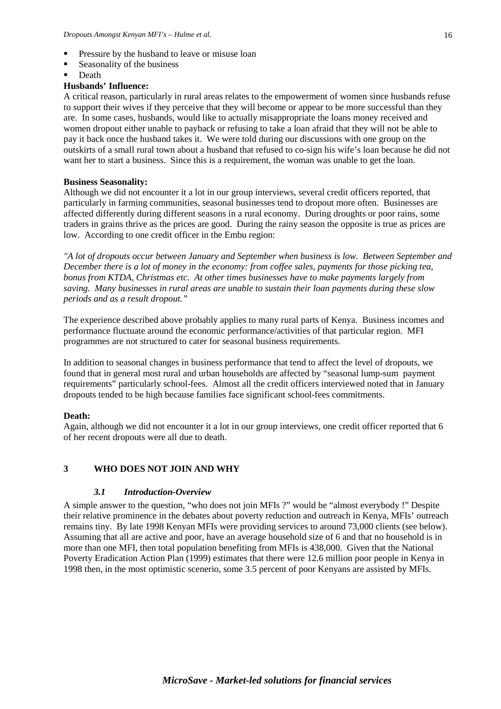- **Pressure by the husband to leave or misuse loan**
- Seasonality of the business
- **Death**

#### **Husbands' Influence:**

A critical reason, particularly in rural areas relates to the empowerment of women since husbands refuse to support their wives if they perceive that they will become or appear to be more successful than they are. In some cases, husbands, would like to actually misappropriate the loans money received and women dropout either unable to payback or refusing to take a loan afraid that they will not be able to pay it back once the husband takes it. We were told during our discussions with one group on the outskirts of a small rural town about a husband that refused to co-sign his wife's loan because he did not want her to start a business. Since this is a requirement, the woman was unable to get the loan.

#### **Business Seasonality:**

Although we did not encounter it a lot in our group interviews, several credit officers reported, that particularly in farming communities, seasonal businesses tend to dropout more often. Businesses are affected differently during different seasons in a rural economy. During droughts or poor rains, some traders in grains thrive as the prices are good. During the rainy season the opposite is true as prices are low. According to one credit officer in the Embu region:

*"A lot of dropouts occur between January and September when business is low. Between September and December there is a lot of money in the economy: from coffee sales, payments for those picking tea, bonus from KTDA, Christmas etc. At other times businesses have to make payments largely from saving. Many businesses in rural areas are unable to sustain their loan payments during these slow periods and as a result dropout."*

The experience described above probably applies to many rural parts of Kenya. Business incomes and performance fluctuate around the economic performance/activities of that particular region. MFI programmes are not structured to cater for seasonal business requirements.

In addition to seasonal changes in business performance that tend to affect the level of dropouts, we found that in general most rural and urban households are affected by "seasonal lump-sum payment requirements" particularly school-fees. Almost all the credit officers interviewed noted that in January dropouts tended to be high because families face significant school-fees commitments.

#### **Death:**

Again, although we did not encounter it a lot in our group interviews, one credit officer reported that 6 of her recent dropouts were all due to death.

#### **3 WHO DOES NOT JOIN AND WHY**

#### *3.1 Introduction-Overview*

A simple answer to the question, "who does not join MFIs ?" would be "almost everybody !" Despite their relative prominence in the debates about poverty reduction and outreach in Kenya, MFIs' outreach remains tiny. By late 1998 Kenyan MFIs were providing services to around 73,000 clients (see below). Assuming that all are active and poor, have an average household size of 6 and that no household is in more than one MFI, then total population benefiting from MFIs is 438,000. Given that the National Poverty Eradication Action Plan (1999) estimates that there were 12.6 million poor people in Kenya in 1998 then, in the most optimistic scenerio, some 3.5 percent of poor Kenyans are assisted by MFIs.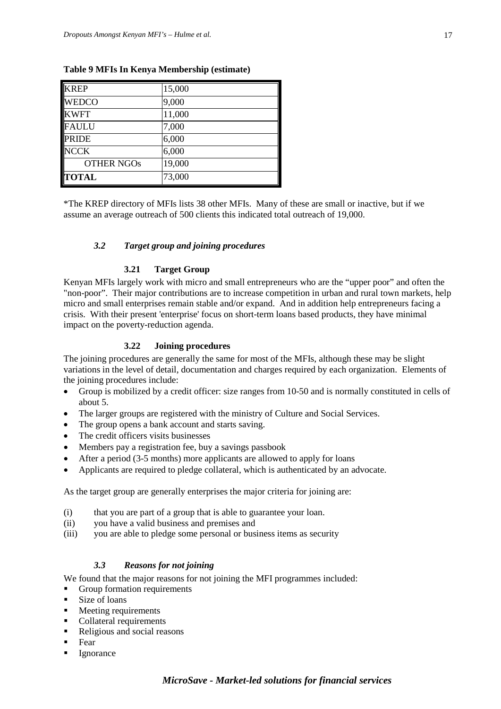| <b>KREP</b>       | 15,000 |
|-------------------|--------|
| <b>WEDCO</b>      | 9,000  |
| <b>KWFT</b>       | 11,000 |
| <b>FAULU</b>      | 7,000  |
| <b>PRIDE</b>      | 6,000  |
| <b>NCCK</b>       | 6,000  |
| <b>OTHER NGOS</b> | 19,000 |
| <b>TOTAL</b>      | 73,000 |

# **Table 9 MFIs In Kenya Membership (estimate)**

\*The KREP directory of MFIs lists 38 other MFIs. Many of these are small or inactive, but if we assume an average outreach of 500 clients this indicated total outreach of 19,000.

# *3.2 Target group and joining procedures*

#### **3.21 Target Group**

Kenyan MFIs largely work with micro and small entrepreneurs who are the "upper poor" and often the "non-poor". Their major contributions are to increase competition in urban and rural town markets, help micro and small enterprises remain stable and/or expand. And in addition help entrepreneurs facing a crisis. With their present 'enterprise' focus on short-term loans based products, they have minimal impact on the poverty-reduction agenda.

#### **3.22 Joining procedures**

The joining procedures are generally the same for most of the MFIs, although these may be slight variations in the level of detail, documentation and charges required by each organization. Elements of the joining procedures include:

- Group is mobilized by a credit officer: size ranges from 10-50 and is normally constituted in cells of about 5.
- The larger groups are registered with the ministry of Culture and Social Services.
- The group opens a bank account and starts saving.
- The credit officers visits businesses
- Members pay a registration fee, buy a savings passbook
- After a period (3-5 months) more applicants are allowed to apply for loans
- Applicants are required to pledge collateral, which is authenticated by an advocate.

As the target group are generally enterprises the major criteria for joining are:

- (i) that you are part of a group that is able to guarantee your loan.
- (ii) you have a valid business and premises and
- (iii) you are able to pledge some personal or business items as security

# *3.3 Reasons for not joining*

We found that the major reasons for not joining the MFI programmes included:

- Group formation requirements
- **Size of loans**
- Meeting requirements
- Collateral requirements
- Religious and social reasons
- $\blacksquare$  Fear
- Ignorance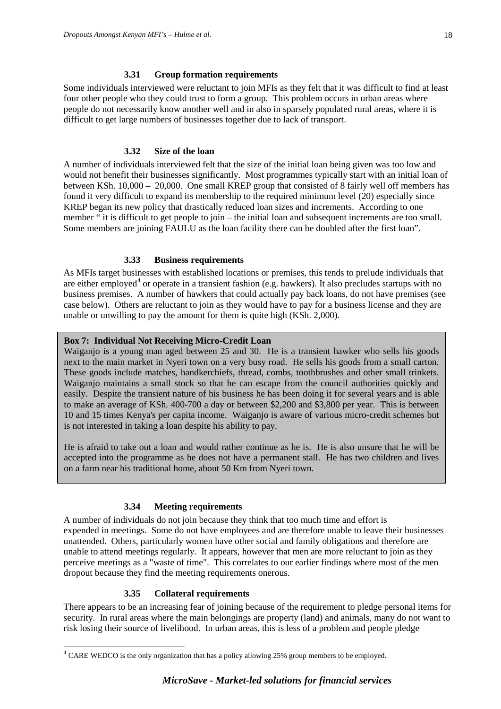Some individuals interviewed were reluctant to join MFIs as they felt that it was difficult to find at least four other people who they could trust to form a group. This problem occurs in urban areas where people do not necessarily know another well and in also in sparsely populated rural areas, where it is difficult to get large numbers of businesses together due to lack of transport.

# **3.32 Size of the loan**

A number of individuals interviewed felt that the size of the initial loan being given was too low and would not benefit their businesses significantly. Most programmes typically start with an initial loan of between KSh. 10,000 – 20,000. One small KREP group that consisted of 8 fairly well off members has found it very difficult to expand its membership to the required minimum level (20) especially since KREP began its new policy that drastically reduced loan sizes and increments. According to one member " it is difficult to get people to join – the initial loan and subsequent increments are too small. Some members are joining FAULU as the loan facility there can be doubled after the first loan".

# **3.33 Business requirements**

As MFIs target businesses with established locations or premises, this tends to prelude individuals that are either employed<sup>[4](#page-17-0)</sup> or operate in a transient fashion (e.g. hawkers). It also precludes startups with no business premises. A number of hawkers that could actually pay back loans, do not have premises (see case below). Others are reluctant to join as they would have to pay for a business license and they are unable or unwilling to pay the amount for them is quite high (KSh. 2,000).

# **Box 7: Individual Not Receiving Micro-Credit Loan**

Waiganjo is a young man aged between 25 and 30. He is a transient hawker who sells his goods next to the main market in Nyeri town on a very busy road. He sells his goods from a small carton. These goods include matches, handkerchiefs, thread, combs, toothbrushes and other small trinkets. Waiganjo maintains a small stock so that he can escape from the council authorities quickly and easily. Despite the transient nature of his business he has been doing it for several years and is able to make an average of KSh. 400-700 a day or between \$2,200 and \$3,800 per year. This is between 10 and 15 times Kenya's per capita income. Waiganjo is aware of various micro-credit schemes but is not interested in taking a loan despite his ability to pay.

He is afraid to take out a loan and would rather continue as he is. He is also unsure that he will be accepted into the programme as he does not have a permanent stall. He has two children and lives on a farm near his traditional home, about 50 Km from Nyeri town.

# **3.34 Meeting requirements**

A number of individuals do not join because they think that too much time and effort is expended in meetings. Some do not have employees and are therefore unable to leave their businesses unattended. Others, particularly women have other social and family obligations and therefore are unable to attend meetings regularly. It appears, however that men are more reluctant to join as they perceive meetings as a "waste of time". This correlates to our earlier findings where most of the men dropout because they find the meeting requirements onerous.

# **3.35 Collateral requirements**

There appears to be an increasing fear of joining because of the requirement to pledge personal items for security. In rural areas where the main belongings are property (land) and animals, many do not want to risk losing their source of livelihood. In urban areas, this is less of a problem and people pledge

<span id="page-17-0"></span><sup>&</sup>lt;sup>4</sup> CARE WEDCO is the only organization that has a policy allowing 25% group members to be employed.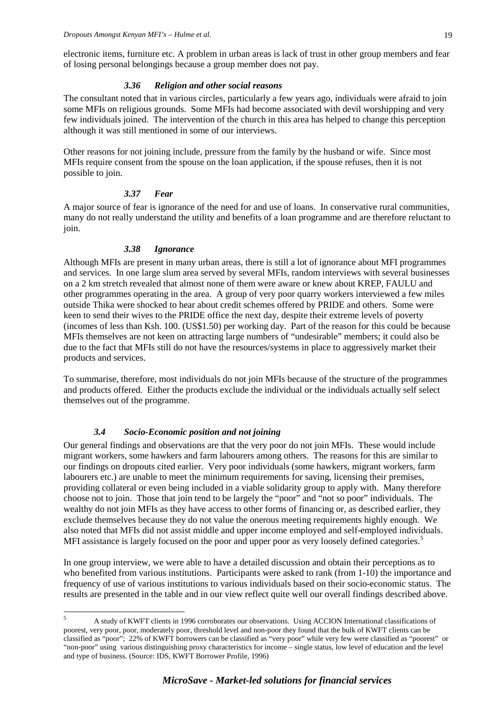electronic items, furniture etc. A problem in urban areas is lack of trust in other group members and fear of losing personal belongings because a group member does not pay.

#### *3.36 Religion and other social reasons*

The consultant noted that in various circles, particularly a few years ago, individuals were afraid to join some MFIs on religious grounds. Some MFIs had become associated with devil worshipping and very few individuals joined. The intervention of the church in this area has helped to change this perception although it was still mentioned in some of our interviews.

Other reasons for not joining include, pressure from the family by the husband or wife. Since most MFIs require consent from the spouse on the loan application, if the spouse refuses, then it is not possible to join.

#### *3.37 Fear*

A major source of fear is ignorance of the need for and use of loans. In conservative rural communities, many do not really understand the utility and benefits of a loan programme and are therefore reluctant to join.

# *3.38 Ignorance*

Although MFIs are present in many urban areas, there is still a lot of ignorance about MFI programmes and services. In one large slum area served by several MFIs, random interviews with several businesses on a 2 km stretch revealed that almost none of them were aware or knew about KREP, FAULU and other programmes operating in the area. A group of very poor quarry workers interviewed a few miles outside Thika were shocked to hear about credit schemes offered by PRIDE and others. Some were keen to send their wives to the PRIDE office the next day, despite their extreme levels of poverty (incomes of less than Ksh. 100. (US\$1.50) per working day. Part of the reason for this could be because MFIs themselves are not keen on attracting large numbers of "undesirable" members; it could also be due to the fact that MFIs still do not have the resources/systems in place to aggressively market their products and services.

To summarise, therefore, most individuals do not join MFIs because of the structure of the programmes and products offered. Either the products exclude the individual or the individuals actually self select themselves out of the programme.

# *3.4 Socio-Economic position and not joining*

Our general findings and observations are that the very poor do not join MFIs. These would include migrant workers, some hawkers and farm labourers among others. The reasons for this are similar to our findings on dropouts cited earlier. Very poor individuals (some hawkers, migrant workers, farm labourers etc.) are unable to meet the minimum requirements for saving, licensing their premises, providing collateral or even being included in a viable solidarity group to apply with. Many therefore choose not to join. Those that join tend to be largely the "poor" and "not so poor" individuals. The wealthy do not join MFIs as they have access to other forms of financing or, as described earlier, they exclude themselves because they do not value the onerous meeting requirements highly enough. We also noted that MFIs did not assist middle and upper income employed and self-employed individuals. MFI assistance is largely focused on the poor and upper poor as very loosely defined categories.<sup>[5](#page-18-0)</sup>

In one group interview, we were able to have a detailed discussion and obtain their perceptions as to who benefited from various institutions. Participants were asked to rank (from 1-10) the importance and frequency of use of various institutions to various individuals based on their socio-economic status. The results are presented in the table and in our view reflect quite well our overall findings described above.

<span id="page-18-0"></span> <sup>5</sup> A study of KWFT clients in 1996 corroborates our observations. Using ACCION International classifications of poorest, very poor, poor, moderately poor, threshold level and non-poor they found that the bulk of KWFT clients can be classified as "poor"; 22% of KWFT borrowers can be classified as "very poor" while very few were classified as "poorest" or "non-poor" using various distinguishing proxy characteristics for income – single status, low level of education and the level and type of business. (Source: IDS, KWFT Borrower Profile, 1996)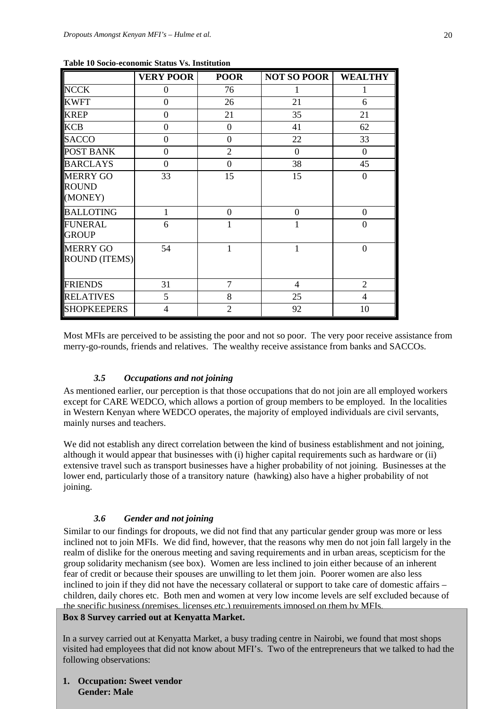| Tuble To Docio economic biatus y si mistitution |                  |                |                    |                  |
|-------------------------------------------------|------------------|----------------|--------------------|------------------|
|                                                 | <b>VERY POOR</b> | <b>POOR</b>    | <b>NOT SO POOR</b> | <b>WEALTHY</b>   |
| <b>NCCK</b>                                     | $\overline{0}$   | 76             |                    |                  |
| <b>KWFT</b>                                     | $\overline{0}$   | 26             | 21                 | 6                |
| <b>KREP</b>                                     | $\Omega$         | 21             | 35                 | 21               |
| <b>KCB</b>                                      | $\theta$         | $\overline{0}$ | 41                 | 62               |
| <b>SACCO</b>                                    | $\theta$         | $\mathbf{0}$   | 22                 | 33               |
| <b>POST BANK</b>                                | $\overline{0}$   | $\overline{2}$ | $\overline{0}$     | $\boldsymbol{0}$ |
| <b>BARCLAYS</b>                                 | $\overline{0}$   | $\overline{0}$ | 38                 | 45               |
| <b>MERRY GO</b><br><b>ROUND</b><br>(MONEY)      | 33               | 15             | 15                 | $\overline{0}$   |
| <b>BALLOTING</b>                                |                  | $\overline{0}$ | $\boldsymbol{0}$   | $\boldsymbol{0}$ |
| <b>FUNERAL</b><br><b>GROUP</b>                  | 6                | 1              | 1                  | $\overline{0}$   |
| <b>MERRY GO</b><br><b>ROUND (ITEMS)</b>         | 54               | 1              | $\mathbf{1}$       | $\overline{0}$   |
| <b>FRIENDS</b>                                  | 31               | $\overline{7}$ | 4                  | $\overline{2}$   |
| <b>RELATIVES</b>                                | 5                | 8              | 25                 | $\overline{4}$   |
| <b>SHOPKEEPERS</b>                              | 4                | $\overline{2}$ | 92                 | 10               |

| <b>Table 10 Socio-economic Status Vs. Institution</b> |  |
|-------------------------------------------------------|--|
|-------------------------------------------------------|--|

Most MFIs are perceived to be assisting the poor and not so poor. The very poor receive assistance from merry-go-rounds, friends and relatives. The wealthy receive assistance from banks and SACCOs.

#### *3.5 Occupations and not joining*

As mentioned earlier, our perception is that those occupations that do not join are all employed workers except for CARE WEDCO, which allows a portion of group members to be employed. In the localities in Western Kenyan where WEDCO operates, the majority of employed individuals are civil servants, mainly nurses and teachers.

We did not establish any direct correlation between the kind of business establishment and not joining, although it would appear that businesses with (i) higher capital requirements such as hardware or (ii) extensive travel such as transport businesses have a higher probability of not joining. Businesses at the lower end, particularly those of a transitory nature (hawking) also have a higher probability of not joining.

#### *3.6 Gender and not joining*

Similar to our findings for dropouts, we did not find that any particular gender group was more or less inclined not to join MFIs. We did find, however, that the reasons why men do not join fall largely in the realm of dislike for the onerous meeting and saving requirements and in urban areas, scepticism for the group solidarity mechanism (see box). Women are less inclined to join either because of an inherent fear of credit or because their spouses are unwilling to let them join. Poorer women are also less inclined to join if they did not have the necessary collateral or support to take care of domestic affairs – children, daily chores etc. Both men and women at very low income levels are self excluded because of the specific business (premises, licenses etc.) requirements imposed on them by MFIs.

#### **Box 8 Survey carried out at Kenyatta Market.**

In a survey carried out at Kenyatta Market, a busy trading centre in Nairobi, we found that most shops visited had employees that did not know about MFI's. Two of the entrepreneurs that we talked to had the following observations:

*MicroSave - Market-led solutions for financial services* **1. Occupation: Sweet vendor Gender: Male**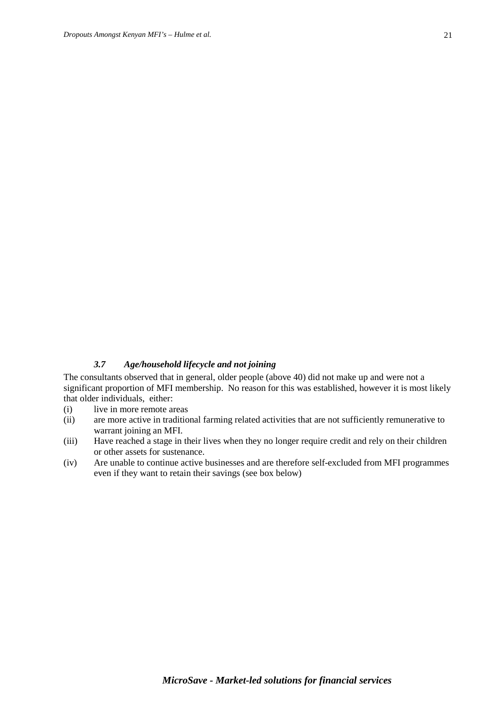# *3.7 Age/household lifecycle and not joining*

The consultants observed that in general, older people (above 40) did not make up and were not a significant proportion of MFI membership. No reason for this was established, however it is most likely that older individuals, either:

- (i) live in more remote areas
- (ii) are more active in traditional farming related activities that are not sufficiently remunerative to warrant joining an MFI.
- (iii) Have reached a stage in their lives when they no longer require credit and rely on their children or other assets for sustenance.
- (iv) Are unable to continue active businesses and are therefore self-excluded from MFI programmes even if they want to retain their savings (see box below)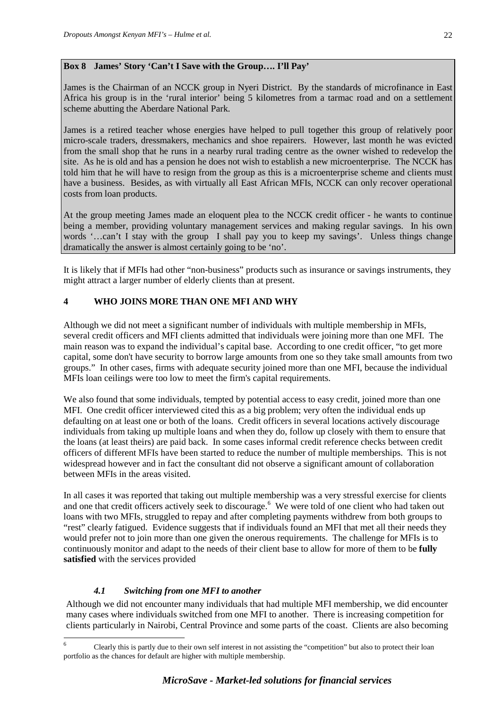# **Box 8 James' Story 'Can't I Save with the Group…. I'll Pay'**

James is the Chairman of an NCCK group in Nyeri District. By the standards of microfinance in East Africa his group is in the 'rural interior' being 5 kilometres from a tarmac road and on a settlement scheme abutting the Aberdare National Park.

James is a retired teacher whose energies have helped to pull together this group of relatively poor micro-scale traders, dressmakers, mechanics and shoe repairers. However, last month he was evicted from the small shop that he runs in a nearby rural trading centre as the owner wished to redevelop the site. As he is old and has a pension he does not wish to establish a new microenterprise. The NCCK has told him that he will have to resign from the group as this is a microenterprise scheme and clients must have a business. Besides, as with virtually all East African MFIs, NCCK can only recover operational costs from loan products.

At the group meeting James made an eloquent plea to the NCCK credit officer - he wants to continue being a member, providing voluntary management services and making regular savings. In his own words '…can't I stay with the group I shall pay you to keep my savings'. Unless things change dramatically the answer is almost certainly going to be 'no'.

It is likely that if MFIs had other "non-business" products such as insurance or savings instruments, they might attract a larger number of elderly clients than at present.

# **4 WHO JOINS MORE THAN ONE MFI AND WHY**

Although we did not meet a significant number of individuals with multiple membership in MFIs, several credit officers and MFI clients admitted that individuals were joining more than one MFI. The main reason was to expand the individual's capital base. According to one credit officer, "to get more capital, some don't have security to borrow large amounts from one so they take small amounts from two groups." In other cases, firms with adequate security joined more than one MFI, because the individual MFIs loan ceilings were too low to meet the firm's capital requirements.

We also found that some individuals, tempted by potential access to easy credit, joined more than one MFI. One credit officer interviewed cited this as a big problem; very often the individual ends up defaulting on at least one or both of the loans. Credit officers in several locations actively discourage individuals from taking up multiple loans and when they do, follow up closely with them to ensure that the loans (at least theirs) are paid back. In some cases informal credit reference checks between credit officers of different MFIs have been started to reduce the number of multiple memberships. This is not widespread however and in fact the consultant did not observe a significant amount of collaboration between MFIs in the areas visited.

In all cases it was reported that taking out multiple membership was a very stressful exercise for clients and one that credit officers actively seek to discourage.<sup>[6](#page-21-0)</sup> We were told of one client who had taken out loans with two MFIs, struggled to repay and after completing payments withdrew from both groups to "rest" clearly fatigued. Evidence suggests that if individuals found an MFI that met all their needs they would prefer not to join more than one given the onerous requirements. The challenge for MFIs is to continuously monitor and adapt to the needs of their client base to allow for more of them to be **fully satisfied** with the services provided

# *4.1 Switching from one MFI to another*

Although we did not encounter many individuals that had multiple MFI membership, we did encounter many cases where individuals switched from one MFI to another. There is increasing competition for clients particularly in Nairobi, Central Province and some parts of the coast. Clients are also becoming

<span id="page-21-0"></span><sup>&</sup>lt;sup>6</sup> Clearly this is partly due to their own self interest in not assisting the "competition" but also to protect their loan portfolio as the chances for default are higher with multiple membership.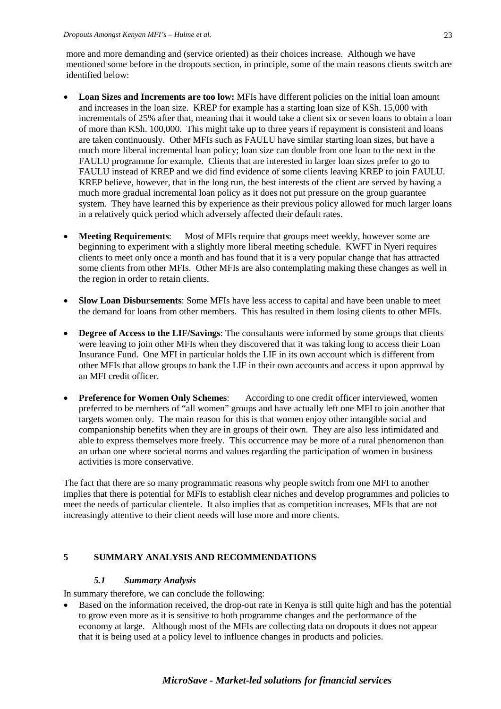more and more demanding and (service oriented) as their choices increase. Although we have mentioned some before in the dropouts section, in principle, some of the main reasons clients switch are identified below:

- **Loan Sizes and Increments are too low:** MFIs have different policies on the initial loan amount and increases in the loan size. KREP for example has a starting loan size of KSh. 15,000 with incrementals of 25% after that, meaning that it would take a client six or seven loans to obtain a loan of more than KSh. 100,000. This might take up to three years if repayment is consistent and loans are taken continuously. Other MFIs such as FAULU have similar starting loan sizes, but have a much more liberal incremental loan policy; loan size can double from one loan to the next in the FAULU programme for example. Clients that are interested in larger loan sizes prefer to go to FAULU instead of KREP and we did find evidence of some clients leaving KREP to join FAULU. KREP believe, however, that in the long run, the best interests of the client are served by having a much more gradual incremental loan policy as it does not put pressure on the group guarantee system. They have learned this by experience as their previous policy allowed for much larger loans in a relatively quick period which adversely affected their default rates.
- **Meeting Requirements:** Most of MFIs require that groups meet weekly, however some are beginning to experiment with a slightly more liberal meeting schedule. KWFT in Nyeri requires clients to meet only once a month and has found that it is a very popular change that has attracted some clients from other MFIs. Other MFIs are also contemplating making these changes as well in the region in order to retain clients.
- **Slow Loan Disbursements**: Some MFIs have less access to capital and have been unable to meet the demand for loans from other members. This has resulted in them losing clients to other MFIs.
- **Degree of Access to the LIF/Savings**: The consultants were informed by some groups that clients were leaving to join other MFIs when they discovered that it was taking long to access their Loan Insurance Fund. One MFI in particular holds the LIF in its own account which is different from other MFIs that allow groups to bank the LIF in their own accounts and access it upon approval by an MFI credit officer.
- **Preference for Women Only Schemes:** According to one credit officer interviewed, women preferred to be members of "all women" groups and have actually left one MFI to join another that targets women only. The main reason for this is that women enjoy other intangible social and companionship benefits when they are in groups of their own. They are also less intimidated and able to express themselves more freely. This occurrence may be more of a rural phenomenon than an urban one where societal norms and values regarding the participation of women in business activities is more conservative.

The fact that there are so many programmatic reasons why people switch from one MFI to another implies that there is potential for MFIs to establish clear niches and develop programmes and policies to meet the needs of particular clientele. It also implies that as competition increases, MFIs that are not increasingly attentive to their client needs will lose more and more clients.

# **5 SUMMARY ANALYSIS AND RECOMMENDATIONS**

# *5.1 Summary Analysis*

In summary therefore, we can conclude the following:

• Based on the information received, the drop-out rate in Kenya is still quite high and has the potential to grow even more as it is sensitive to both programme changes and the performance of the economy at large. Although most of the MFIs are collecting data on dropouts it does not appear that it is being used at a policy level to influence changes in products and policies.

# *MicroSave - Market-led solutions for financial services*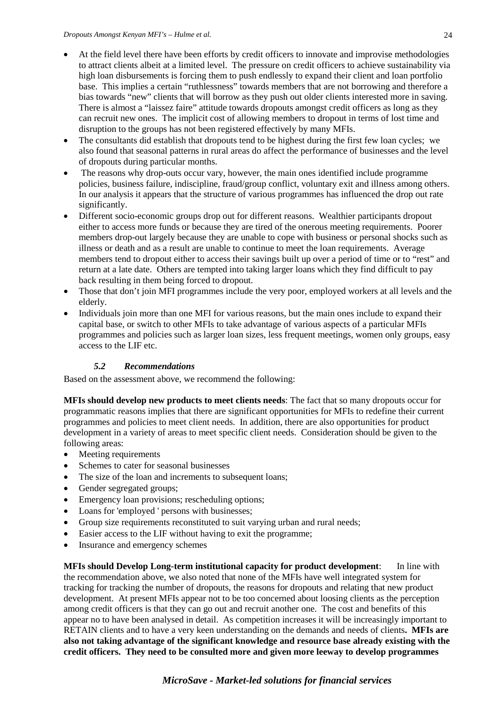- At the field level there have been efforts by credit officers to innovate and improvise methodologies to attract clients albeit at a limited level. The pressure on credit officers to achieve sustainability via high loan disbursements is forcing them to push endlessly to expand their client and loan portfolio base. This implies a certain "ruthlessness" towards members that are not borrowing and therefore a bias towards "new" clients that will borrow as they push out older clients interested more in saving. There is almost a "laissez faire" attitude towards dropouts amongst credit officers as long as they can recruit new ones. The implicit cost of allowing members to dropout in terms of lost time and disruption to the groups has not been registered effectively by many MFIs.
- The consultants did establish that dropouts tend to be highest during the first few loan cycles; we also found that seasonal patterns in rural areas do affect the performance of businesses and the level of dropouts during particular months.
- The reasons why drop-outs occur vary, however, the main ones identified include programme policies, business failure, indiscipline, fraud/group conflict, voluntary exit and illness among others. In our analysis it appears that the structure of various programmes has influenced the drop out rate significantly.
- Different socio-economic groups drop out for different reasons. Wealthier participants dropout either to access more funds or because they are tired of the onerous meeting requirements. Poorer members drop-out largely because they are unable to cope with business or personal shocks such as illness or death and as a result are unable to continue to meet the loan requirements. Average members tend to dropout either to access their savings built up over a period of time or to "rest" and return at a late date. Others are tempted into taking larger loans which they find difficult to pay back resulting in them being forced to dropout.
- Those that don't join MFI programmes include the very poor, employed workers at all levels and the elderly.
- Individuals join more than one MFI for various reasons, but the main ones include to expand their capital base, or switch to other MFIs to take advantage of various aspects of a particular MFIs programmes and policies such as larger loan sizes, less frequent meetings, women only groups, easy access to the LIF etc.

# *5.2 Recommendations*

Based on the assessment above, we recommend the following:

**MFIs should develop new products to meet clients needs**: The fact that so many dropouts occur for programmatic reasons implies that there are significant opportunities for MFIs to redefine their current programmes and policies to meet client needs. In addition, there are also opportunities for product development in a variety of areas to meet specific client needs. Consideration should be given to the following areas:

- Meeting requirements
- Schemes to cater for seasonal businesses
- The size of the loan and increments to subsequent loans:
- Gender segregated groups:
- Emergency loan provisions; rescheduling options;
- Loans for 'employed ' persons with businesses;
- Group size requirements reconstituted to suit varying urban and rural needs;
- Easier access to the LIF without having to exit the programme;
- Insurance and emergency schemes

**MFIs should Develop Long-term institutional capacity for product development**: In line with the recommendation above, we also noted that none of the MFIs have well integrated system for tracking for tracking the number of dropouts, the reasons for dropouts and relating that new product development. At present MFIs appear not to be too concerned about loosing clients as the perception among credit officers is that they can go out and recruit another one. The cost and benefits of this appear no to have been analysed in detail. As competition increases it will be increasingly important to RETAIN clients and to have a very keen understanding on the demands and needs of clients**. MFIs are also not taking advantage of the significant knowledge and resource base already existing with the credit officers. They need to be consulted more and given more leeway to develop programmes**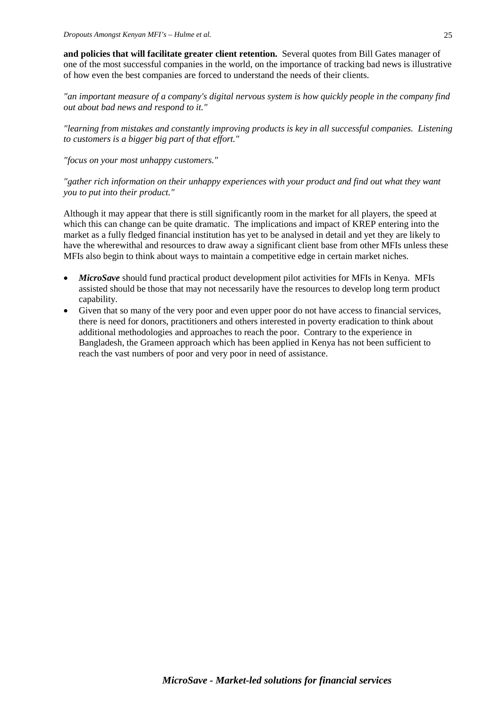**and policies that will facilitate greater client retention.** Several quotes from Bill Gates manager of one of the most successful companies in the world, on the importance of tracking bad news is illustrative of how even the best companies are forced to understand the needs of their clients.

*"an important measure of a company's digital nervous system is how quickly people in the company find out about bad news and respond to it."*

*"learning from mistakes and constantly improving products is key in all successful companies. Listening to customers is a bigger big part of that effort."*

*"focus on your most unhappy customers."*

*"gather rich information on their unhappy experiences with your product and find out what they want you to put into their product."*

Although it may appear that there is still significantly room in the market for all players, the speed at which this can change can be quite dramatic. The implications and impact of KREP entering into the market as a fully fledged financial institution has yet to be analysed in detail and yet they are likely to have the wherewithal and resources to draw away a significant client base from other MFIs unless these MFIs also begin to think about ways to maintain a competitive edge in certain market niches.

- *MicroSave* should fund practical product development pilot activities for MFIs in Kenya. MFIs assisted should be those that may not necessarily have the resources to develop long term product capability.
- Given that so many of the very poor and even upper poor do not have access to financial services, there is need for donors, practitioners and others interested in poverty eradication to think about additional methodologies and approaches to reach the poor. Contrary to the experience in Bangladesh, the Grameen approach which has been applied in Kenya has not been sufficient to reach the vast numbers of poor and very poor in need of assistance.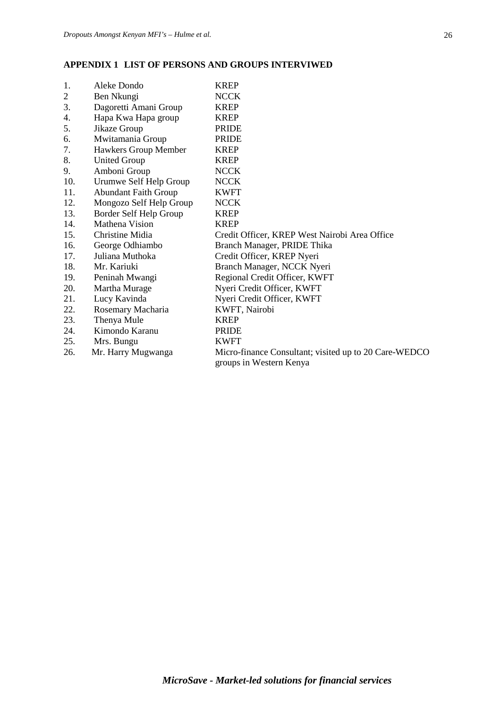#### **APPENDIX 1 LIST OF PERSONS AND GROUPS INTERVIWED**

| 1.             | Aleke Dondo                 | <b>KREP</b>                                           |
|----------------|-----------------------------|-------------------------------------------------------|
| $\overline{c}$ | Ben Nkungi                  | <b>NCCK</b>                                           |
| 3.             | Dagoretti Amani Group       | <b>KREP</b>                                           |
| 4.             | Hapa Kwa Hapa group         | <b>KREP</b>                                           |
| 5.             | Jikaze Group                | <b>PRIDE</b>                                          |
| 6.             | Mwitamania Group            | <b>PRIDE</b>                                          |
| 7.             | Hawkers Group Member        | <b>KREP</b>                                           |
| 8.             | <b>United Group</b>         | <b>KREP</b>                                           |
| 9.             | Amboni Group                | <b>NCCK</b>                                           |
| 10.            | Urumwe Self Help Group      | <b>NCCK</b>                                           |
| 11.            | <b>Abundant Faith Group</b> | <b>KWFT</b>                                           |
| 12.            | Mongozo Self Help Group     | <b>NCCK</b>                                           |
| 13.            | Border Self Help Group      | <b>KREP</b>                                           |
| 14.            | Mathena Vision              | <b>KREP</b>                                           |
| 15.            | Christine Midia             | Credit Officer, KREP West Nairobi Area Office         |
| 16.            | George Odhiambo             | Branch Manager, PRIDE Thika                           |
| 17.            | Juliana Muthoka             | Credit Officer, KREP Nyeri                            |
| 18.            | Mr. Kariuki                 | Branch Manager, NCCK Nyeri                            |
| 19.            | Peninah Mwangi              | Regional Credit Officer, KWFT                         |
| 20.            | Martha Murage               | Nyeri Credit Officer, KWFT                            |
| 21.            | Lucy Kavinda                | Nyeri Credit Officer, KWFT                            |
| 22.            | Rosemary Macharia           | KWFT, Nairobi                                         |
| 23.            | Thenya Mule                 | <b>KREP</b>                                           |
| 24.            | Kimondo Karanu              | <b>PRIDE</b>                                          |
| 25.            | Mrs. Bungu                  | <b>KWFT</b>                                           |
| 26.            | Mr. Harry Mugwanga          | Micro-finance Consultant; visited up to 20 Care-WEDCO |
|                |                             | groups in Western Kenya                               |
|                |                             |                                                       |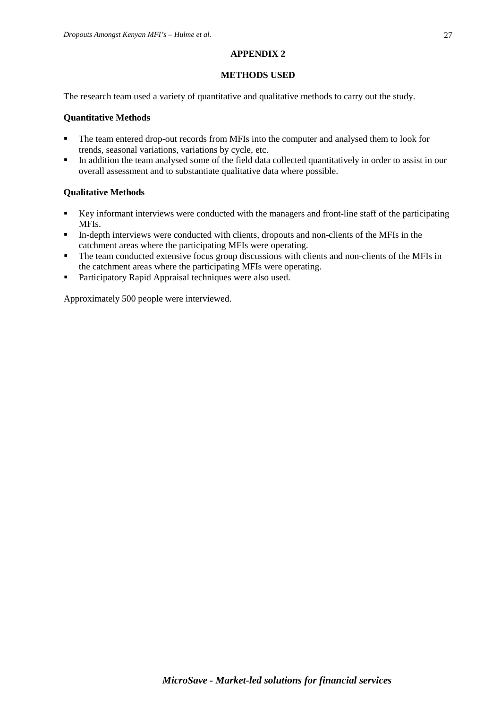#### **APPENDIX 2**

# **METHODS USED**

The research team used a variety of quantitative and qualitative methods to carry out the study.

# **Quantitative Methods**

- The team entered drop-out records from MFIs into the computer and analysed them to look for trends, seasonal variations, variations by cycle, etc.
- In addition the team analysed some of the field data collected quantitatively in order to assist in our overall assessment and to substantiate qualitative data where possible.

# **Qualitative Methods**

- Key informant interviews were conducted with the managers and front-line staff of the participating MFIs.
- In-depth interviews were conducted with clients, dropouts and non-clients of the MFIs in the catchment areas where the participating MFIs were operating.
- The team conducted extensive focus group discussions with clients and non-clients of the MFIs in the catchment areas where the participating MFIs were operating.
- **Participatory Rapid Appraisal techniques were also used.**

Approximately 500 people were interviewed.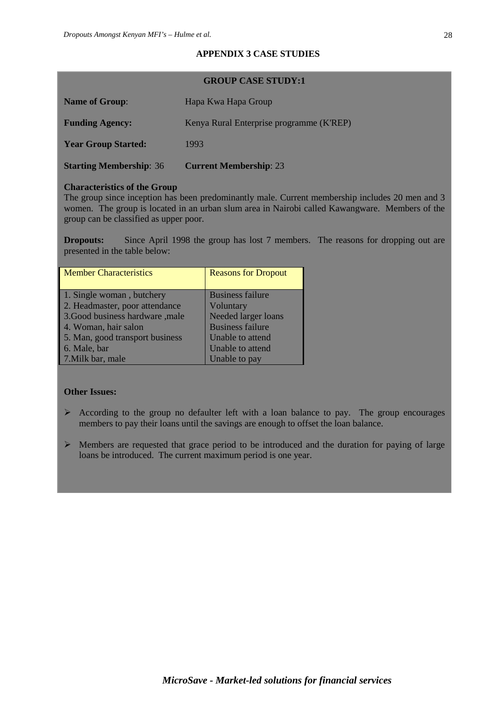# **APPENDIX 3 CASE STUDIES**

#### **GROUP CASE STUDY:1**

| <b>Name of Group:</b>          | Hapa Kwa Hapa Group                      |
|--------------------------------|------------------------------------------|
| <b>Funding Agency:</b>         | Kenya Rural Enterprise programme (K'REP) |
| <b>Year Group Started:</b>     | 1993                                     |
| <b>Starting Membership: 36</b> | <b>Current Membership: 23</b>            |

#### **Characteristics of the Group**

The group since inception has been predominantly male. Current membership includes 20 men and 3 women. The group is located in an urban slum area in Nairobi called Kawangware. Members of the group can be classified as upper poor.

**Dropouts:** Since April 1998 the group has lost 7 members. The reasons for dropping out are presented in the table below:

| <b>Member Characteristics</b>   | <b>Reasons for Dropout</b> |  |
|---------------------------------|----------------------------|--|
|                                 |                            |  |
| 1. Single woman, butchery       | <b>Business failure</b>    |  |
| 2. Headmaster, poor attendance  | Voluntary                  |  |
| 3.Good business hardware ,male  | Needed larger loans        |  |
| 4. Woman, hair salon            | <b>Business failure</b>    |  |
| 5. Man, good transport business | Unable to attend           |  |
| 6. Male, bar                    | Unable to attend           |  |
| 7. Milk bar, male               | Unable to pay              |  |

# **Other Issues:**

- $\triangleright$  According to the group no defaulter left with a loan balance to pay. The group encourages members to pay their loans until the savings are enough to offset the loan balance.
- $\triangleright$  Members are requested that grace period to be introduced and the duration for paying of large loans be introduced. The current maximum period is one year.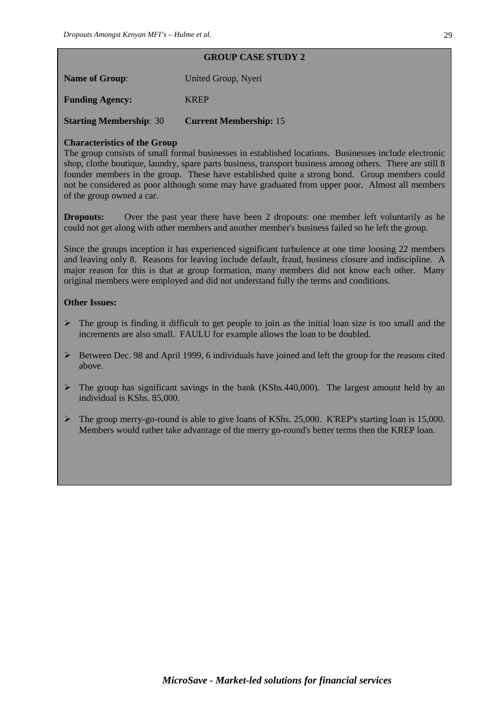# **GROUP CASE STUDY 2**

| <b>Name of Group:</b>  | United Group, Nyeri |
|------------------------|---------------------|
| <b>Funding Agency:</b> | <b>KREP</b>         |

**Starting Membership**: 30 **Current Membership:** 15

# **Characteristics of the Group**

The group consists of small formal businesses in established locations. Businesses include electronic shop, clothe boutique, laundry, spare parts business, transport business among others. There are still 8 founder members in the group. These have established quite a strong bond. Group members could not be considered as poor although some may have graduated from upper poor. Almost all members of the group owned a car.

**Dropouts:** Over the past year there have been 2 dropouts: one member left voluntarily as he could not get along with other members and another member's business failed so he left the group.

Since the groups inception it has experienced significant turbulence at one time loosing 22 members and leaving only 8. Reasons for leaving include default, fraud, business closure and indiscipline. A major reason for this is that at group formation, many members did not know each other. Many original members were employed and did not understand fully the terms and conditions.

# **Other Issues:**

- $\triangleright$  The group is finding it difficult to get people to join as the initial loan size is too small and the increments are also small. FAULU for example allows the loan to be doubled.
- $\triangleright$  Between Dec. 98 and April 1999, 6 individuals have joined and left the group for the reasons cited above.
- $\triangleright$  The group has significant savings in the bank (KShs.440,000). The largest amount held by an individual is KShs. 85,000.
- The group merry-go-round is able to give loans of KShs. 25,000. K'REP's starting loan is 15,000. Members would rather take advantage of the merry go-round's better terms then the KREP loan.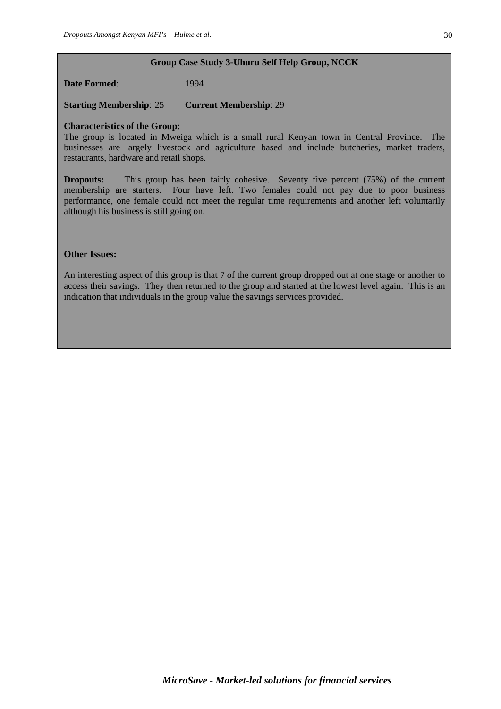#### **Group Case Study 3-Uhuru Self Help Group, NCCK**

**Date Formed:** 1994

**Starting Membership**: 25 **Current Membership**: 29

#### **Characteristics of the Group:**

The group is located in Mweiga which is a small rural Kenyan town in Central Province. The businesses are largely livestock and agriculture based and include butcheries, market traders, restaurants, hardware and retail shops.

**Dropouts:** This group has been fairly cohesive. Seventy five percent (75%) of the current membership are starters. Four have left. Two females could not pay due to poor business performance, one female could not meet the regular time requirements and another left voluntarily although his business is still going on.

#### **Other Issues:**

An interesting aspect of this group is that 7 of the current group dropped out at one stage or another to access their savings. They then returned to the group and started at the lowest level again. This is an indication that individuals in the group value the savings services provided.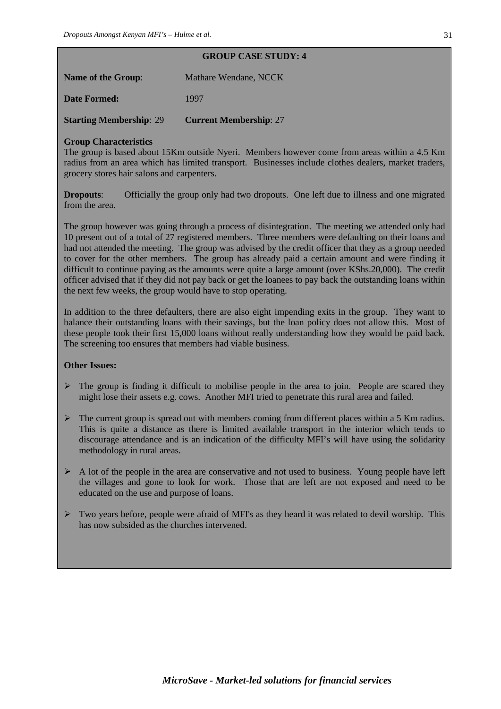# Name of the Group: Mathare Wendane, NCCK

**Date Formed:** 1997

**Starting Membership**: 29 **Current Membership**: 27

# **Group Characteristics**

The group is based about 15Km outside Nyeri. Members however come from areas within a 4.5 Km radius from an area which has limited transport. Businesses include clothes dealers, market traders, grocery stores hair salons and carpenters.

**GROUP CASE STUDY: 4**

**Dropouts:** Officially the group only had two dropouts. One left due to illness and one migrated from the area.

The group however was going through a process of disintegration. The meeting we attended only had 10 present out of a total of 27 registered members. Three members were defaulting on their loans and had not attended the meeting. The group was advised by the credit officer that they as a group needed to cover for the other members. The group has already paid a certain amount and were finding it difficult to continue paying as the amounts were quite a large amount (over KShs.20,000). The credit officer advised that if they did not pay back or get the loanees to pay back the outstanding loans within the next few weeks, the group would have to stop operating.

In addition to the three defaulters, there are also eight impending exits in the group. They want to balance their outstanding loans with their savings, but the loan policy does not allow this. Most of these people took their first 15,000 loans without really understanding how they would be paid back. The screening too ensures that members had viable business.

# **Other Issues:**

- $\triangleright$  The group is finding it difficult to mobilise people in the area to join. People are scared they might lose their assets e.g. cows. Another MFI tried to penetrate this rural area and failed.
- $\triangleright$  The current group is spread out with members coming from different places within a 5 Km radius. This is quite a distance as there is limited available transport in the interior which tends to discourage attendance and is an indication of the difficulty MFI's will have using the solidarity methodology in rural areas.
- $\triangleright$  A lot of the people in the area are conservative and not used to business. Young people have left the villages and gone to look for work. Those that are left are not exposed and need to be educated on the use and purpose of loans.
- $\triangleright$  Two years before, people were afraid of MFI's as they heard it was related to devil worship. This has now subsided as the churches intervened.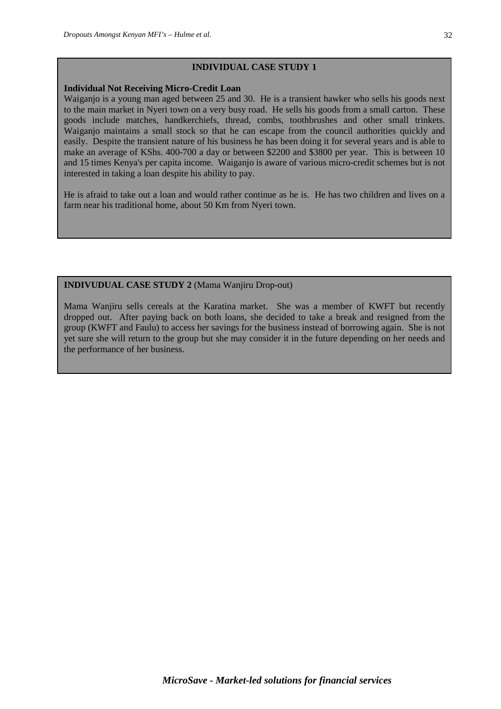#### **INDIVIDUAL CASE STUDY 1**

#### **Individual Not Receiving Micro-Credit Loan**

Waiganio is a young man aged between 25 and 30. He is a transient hawker who sells his goods next to the main market in Nyeri town on a very busy road. He sells his goods from a small carton. These goods include matches, handkerchiefs, thread, combs, toothbrushes and other small trinkets. Waiganjo maintains a small stock so that he can escape from the council authorities quickly and easily. Despite the transient nature of his business he has been doing it for several years and is able to make an average of KShs. 400-700 a day or between \$2200 and \$3800 per year. This is between 10 and 15 times Kenya's per capita income. Waiganjo is aware of various micro-credit schemes but is not interested in taking a loan despite his ability to pay.

He is afraid to take out a loan and would rather continue as he is. He has two children and lives on a farm near his traditional home, about 50 Km from Nyeri town.

#### **INDIVUDUAL CASE STUDY 2** (Mama Wanjiru Drop-out)

Mama Wanjiru sells cereals at the Karatina market. She was a member of KWFT but recently dropped out. After paying back on both loans, she decided to take a break and resigned from the group (KWFT and Faulu) to access her savings for the business instead of borrowing again. She is not yet sure she will return to the group but she may consider it in the future depending on her needs and the performance of her business.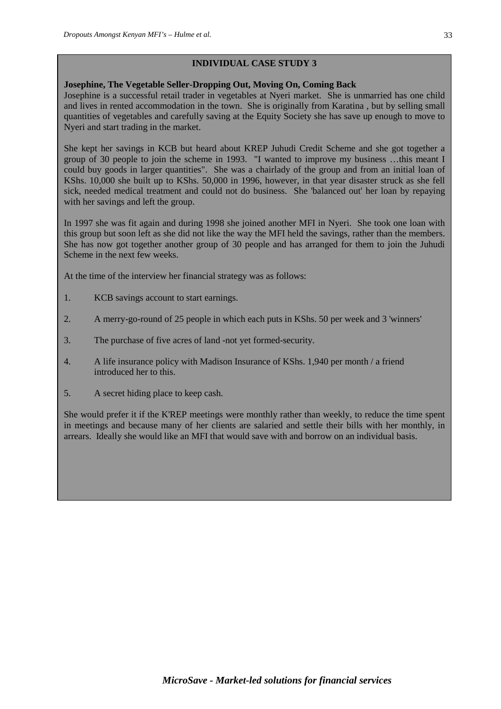# **INDIVIDUAL CASE STUDY 3**

#### **Josephine, The Vegetable Seller-Dropping Out, Moving On, Coming Back**

Josephine is a successful retail trader in vegetables at Nyeri market. She is unmarried has one child and lives in rented accommodation in the town. She is originally from Karatina , but by selling small quantities of vegetables and carefully saving at the Equity Society she has save up enough to move to Nyeri and start trading in the market.

She kept her savings in KCB but heard about KREP Juhudi Credit Scheme and she got together a group of 30 people to join the scheme in 1993. "I wanted to improve my business …this meant I could buy goods in larger quantities". She was a chairlady of the group and from an initial loan of KShs. 10,000 she built up to KShs. 50,000 in 1996, however, in that year disaster struck as she fell sick, needed medical treatment and could not do business. She 'balanced out' her loan by repaying with her savings and left the group.

In 1997 she was fit again and during 1998 she joined another MFI in Nyeri. She took one loan with this group but soon left as she did not like the way the MFI held the savings, rather than the members. She has now got together another group of 30 people and has arranged for them to join the Juhudi Scheme in the next few weeks.

At the time of the interview her financial strategy was as follows:

- 1. KCB savings account to start earnings.
- 2. A merry-go-round of 25 people in which each puts in KShs. 50 per week and 3 'winners'
- 3. The purchase of five acres of land -not yet formed-security.
- 4. A life insurance policy with Madison Insurance of KShs. 1,940 per month / a friend introduced her to this.
- 5. A secret hiding place to keep cash.

She would prefer it if the K'REP meetings were monthly rather than weekly, to reduce the time spent in meetings and because many of her clients are salaried and settle their bills with her monthly, in arrears. Ideally she would like an MFI that would save with and borrow on an individual basis.